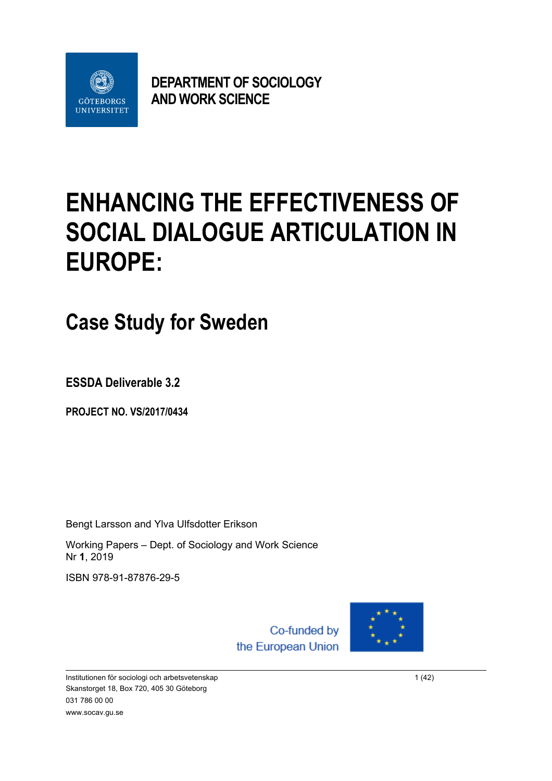

**DEPARTMENT OF SOCIOLOGY AND WORK SCIENCE**

# **ENHANCING THE EFFECTIVENESS OF SOCIAL DIALOGUE ARTICULATION IN EUROPE:**

## **Case Study for Sweden**

**ESSDA Deliverable 3.2** 

**PROJECT NO. VS/2017/0434**

Bengt Larsson and Ylva Ulfsdotter Erikson

Working Papers – Dept. of Sociology and Work Science Nr **1**, 2019

ISBN 978-91-87876-29-5

Co-funded by the European Union



Institutionen för sociologi och arbetsvetenskap 1 (42) and 1 (42) and 1 (42) and 1 (42) and 1 (42) and 1 (42) Skanstorget 18, Box 720, 405 30 Göteborg 031 786 00 00 www.socav.gu.se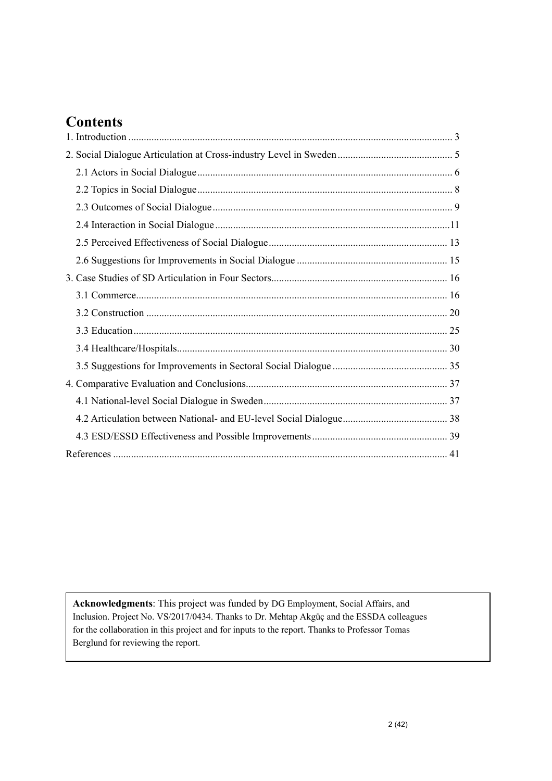### **Contents**

**Acknowledgments**: This project was funded by DG Employment, Social Affairs, and Inclusion. Project No. VS/2017/0434. Thanks to Dr. Mehtap Akgüç and the ESSDA colleagues for the collaboration in this project and for inputs to the report. Thanks to Professor Tomas Berglund for reviewing the report.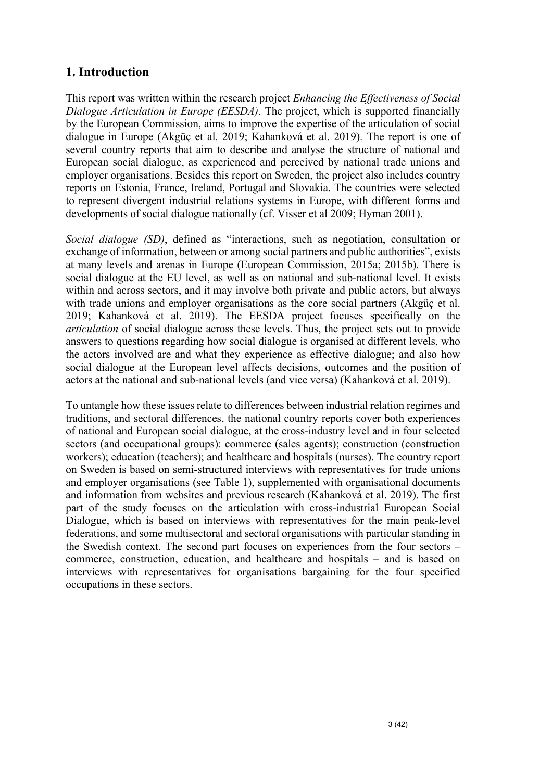#### **1. Introduction**

This report was written within the research project *Enhancing the Effectiveness of Social Dialogue Articulation in Europe (EESDA)*. The project, which is supported financially by the European Commission, aims to improve the expertise of the articulation of social dialogue in Europe (Akgüç et al. 2019; Kahanková et al. 2019). The report is one of several country reports that aim to describe and analyse the structure of national and European social dialogue, as experienced and perceived by national trade unions and employer organisations. Besides this report on Sweden, the project also includes country reports on Estonia, France, Ireland, Portugal and Slovakia. The countries were selected to represent divergent industrial relations systems in Europe, with different forms and developments of social dialogue nationally (cf. Visser et al 2009; Hyman 2001).

*Social dialogue (SD)*, defined as "interactions, such as negotiation, consultation or exchange of information, between or among social partners and public authorities", exists at many levels and arenas in Europe (European Commission, 2015a; 2015b). There is social dialogue at the EU level, as well as on national and sub-national level. It exists within and across sectors, and it may involve both private and public actors, but always with trade unions and employer organisations as the core social partners (Akgüç et al. 2019; Kahanková et al. 2019). The EESDA project focuses specifically on the *articulation* of social dialogue across these levels. Thus, the project sets out to provide answers to questions regarding how social dialogue is organised at different levels, who the actors involved are and what they experience as effective dialogue; and also how social dialogue at the European level affects decisions, outcomes and the position of actors at the national and sub-national levels (and vice versa) (Kahanková et al. 2019).

To untangle how these issues relate to differences between industrial relation regimes and traditions, and sectoral differences, the national country reports cover both experiences of national and European social dialogue, at the cross-industry level and in four selected sectors (and occupational groups): commerce (sales agents); construction (construction workers); education (teachers); and healthcare and hospitals (nurses). The country report on Sweden is based on semi-structured interviews with representatives for trade unions and employer organisations (see Table 1), supplemented with organisational documents and information from websites and previous research (Kahanková et al. 2019). The first part of the study focuses on the articulation with cross-industrial European Social Dialogue, which is based on interviews with representatives for the main peak-level federations, and some multisectoral and sectoral organisations with particular standing in the Swedish context. The second part focuses on experiences from the four sectors – commerce, construction, education, and healthcare and hospitals – and is based on interviews with representatives for organisations bargaining for the four specified occupations in these sectors.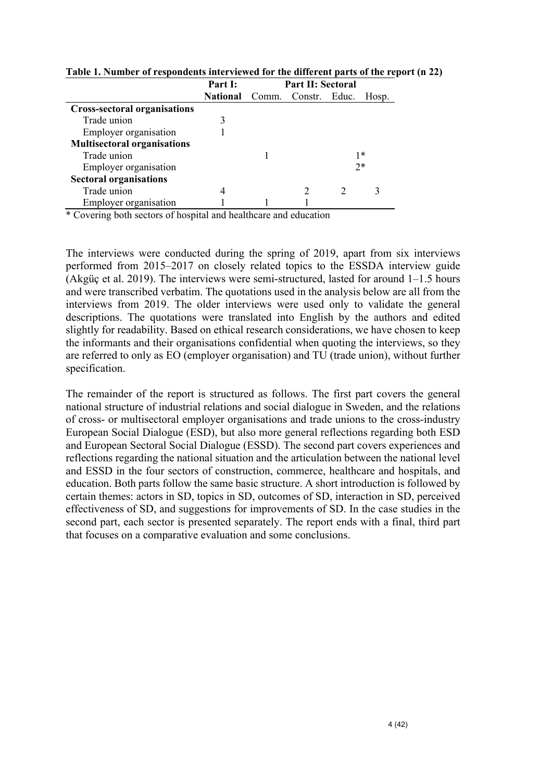|                                     | Part I:                             | <b>Part II: Sectoral</b> |  |      |       |  |
|-------------------------------------|-------------------------------------|--------------------------|--|------|-------|--|
|                                     | <b>National</b> Comm. Constr. Educ. |                          |  |      | Hosp. |  |
| <b>Cross-sectoral organisations</b> |                                     |                          |  |      |       |  |
| Trade union                         |                                     |                          |  |      |       |  |
| Employer organisation               |                                     |                          |  |      |       |  |
| <b>Multisectoral organisations</b>  |                                     |                          |  |      |       |  |
| Trade union                         |                                     |                          |  | 1*   |       |  |
| Employer organisation               |                                     |                          |  | $2*$ |       |  |
| <b>Sectoral organisations</b>       |                                     |                          |  |      |       |  |
| Trade union                         | $\overline{4}$                      |                          |  |      |       |  |
| Employer organisation               |                                     |                          |  |      |       |  |

**Table 1. Number of respondents interviewed for the different parts of the report (n 22)**

\* Covering both sectors of hospital and healthcare and education

The interviews were conducted during the spring of 2019, apart from six interviews performed from 2015–2017 on closely related topics to the ESSDA interview guide (Akgüç et al. 2019). The interviews were semi-structured, lasted for around 1–1.5 hours and were transcribed verbatim. The quotations used in the analysis below are all from the interviews from 2019. The older interviews were used only to validate the general descriptions. The quotations were translated into English by the authors and edited slightly for readability. Based on ethical research considerations, we have chosen to keep the informants and their organisations confidential when quoting the interviews, so they are referred to only as EO (employer organisation) and TU (trade union), without further specification.

The remainder of the report is structured as follows. The first part covers the general national structure of industrial relations and social dialogue in Sweden, and the relations of cross- or multisectoral employer organisations and trade unions to the cross-industry European Social Dialogue (ESD), but also more general reflections regarding both ESD and European Sectoral Social Dialogue (ESSD). The second part covers experiences and reflections regarding the national situation and the articulation between the national level and ESSD in the four sectors of construction, commerce, healthcare and hospitals, and education. Both parts follow the same basic structure. A short introduction is followed by certain themes: actors in SD, topics in SD, outcomes of SD, interaction in SD, perceived effectiveness of SD, and suggestions for improvements of SD. In the case studies in the second part, each sector is presented separately. The report ends with a final, third part that focuses on a comparative evaluation and some conclusions.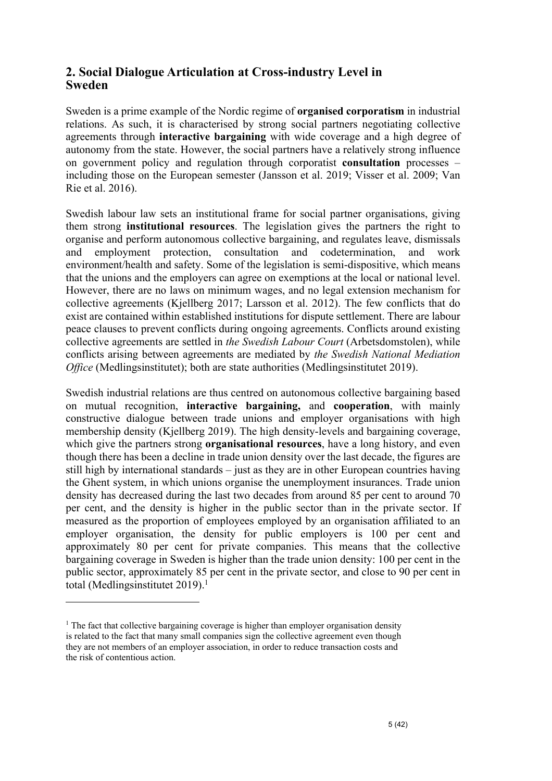#### **2. Social Dialogue Articulation at Cross-industry Level in Sweden**

Sweden is a prime example of the Nordic regime of **organised corporatism** in industrial relations. As such, it is characterised by strong social partners negotiating collective agreements through **interactive bargaining** with wide coverage and a high degree of autonomy from the state. However, the social partners have a relatively strong influence on government policy and regulation through corporatist **consultation** processes – including those on the European semester (Jansson et al. 2019; Visser et al. 2009; Van Rie et al. 2016).

Swedish labour law sets an institutional frame for social partner organisations, giving them strong **institutional resources**. The legislation gives the partners the right to organise and perform autonomous collective bargaining, and regulates leave, dismissals and employment protection, consultation and codetermination, and work environment/health and safety. Some of the legislation is semi-dispositive, which means that the unions and the employers can agree on exemptions at the local or national level. However, there are no laws on minimum wages, and no legal extension mechanism for collective agreements (Kjellberg 2017; Larsson et al. 2012). The few conflicts that do exist are contained within established institutions for dispute settlement. There are labour peace clauses to prevent conflicts during ongoing agreements. Conflicts around existing collective agreements are settled in *the Swedish Labour Court* (Arbetsdomstolen), while conflicts arising between agreements are mediated by *the Swedish National Mediation Office* (Medlingsinstitutet); both are state authorities (Medlingsinstitutet 2019).

Swedish industrial relations are thus centred on autonomous collective bargaining based on mutual recognition, **interactive bargaining,** and **cooperation**, with mainly constructive dialogue between trade unions and employer organisations with high membership density (Kjellberg 2019). The high density-levels and bargaining coverage, which give the partners strong **organisational resources**, have a long history, and even though there has been a decline in trade union density over the last decade, the figures are still high by international standards – just as they are in other European countries having the Ghent system, in which unions organise the unemployment insurances. Trade union density has decreased during the last two decades from around 85 per cent to around 70 per cent, and the density is higher in the public sector than in the private sector. If measured as the proportion of employees employed by an organisation affiliated to an employer organisation, the density for public employers is 100 per cent and approximately 80 per cent for private companies. This means that the collective bargaining coverage in Sweden is higher than the trade union density: 100 per cent in the public sector, approximately 85 per cent in the private sector, and close to 90 per cent in total (Medlingsinstitutet 2019).<sup>1</sup>

<sup>&</sup>lt;sup>1</sup> The fact that collective bargaining coverage is higher than employer organisation density is related to the fact that many small companies sign the collective agreement even though they are not members of an employer association, in order to reduce transaction costs and the risk of contentious action.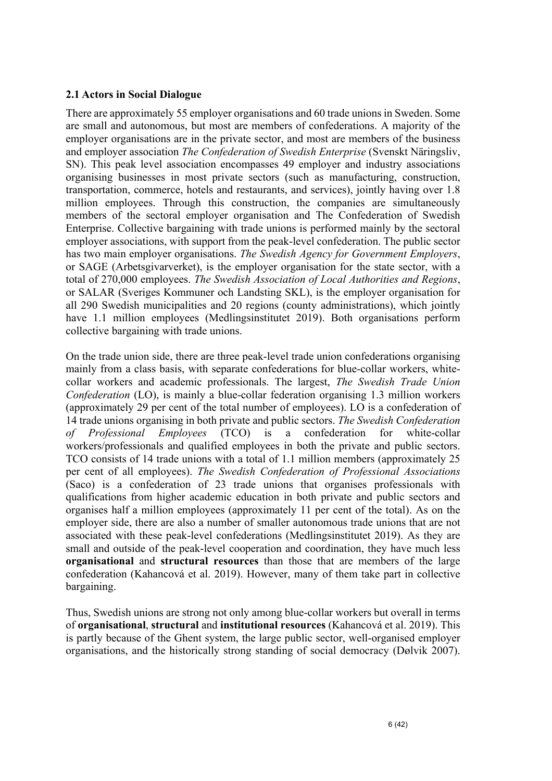#### **2.1 Actors in Social Dialogue**

There are approximately 55 employer organisations and 60 trade unions in Sweden. Some are small and autonomous, but most are members of confederations. A majority of the employer organisations are in the private sector, and most are members of the business and employer association *The Confederation of Swedish Enterprise* (Svenskt Näringsliv, SN). This peak level association encompasses 49 employer and industry associations organising businesses in most private sectors (such as manufacturing, construction, transportation, commerce, hotels and restaurants, and services), jointly having over 1.8 million employees. Through this construction, the companies are simultaneously members of the sectoral employer organisation and The Confederation of Swedish Enterprise. Collective bargaining with trade unions is performed mainly by the sectoral employer associations, with support from the peak-level confederation. The public sector has two main employer organisations. *The Swedish Agency for Government Employers*, or SAGE (Arbetsgivarverket), is the employer organisation for the state sector, with a total of 270,000 employees. *The Swedish Association of Local Authorities and Regions*, or SALAR (Sveriges Kommuner och Landsting SKL), is the employer organisation for all 290 Swedish municipalities and 20 regions (county administrations), which jointly have 1.1 million employees (Medlingsinstitutet 2019). Both organisations perform collective bargaining with trade unions.

On the trade union side, there are three peak-level trade union confederations organising mainly from a class basis, with separate confederations for blue-collar workers, whitecollar workers and academic professionals. The largest, *The Swedish Trade Union Confederation* (LO), is mainly a blue-collar federation organising 1.3 million workers (approximately 29 per cent of the total number of employees). LO is a confederation of 14 trade unions organising in both private and public sectors. *The Swedish Confederation of Professional Employees* (TCO) is a confederation for white-collar workers/professionals and qualified employees in both the private and public sectors. TCO consists of 14 trade unions with a total of 1.1 million members (approximately 25 per cent of all employees). *The Swedish Confederation of Professional Associations* (Saco) is a confederation of 23 trade unions that organises professionals with qualifications from higher academic education in both private and public sectors and organises half a million employees (approximately 11 per cent of the total). As on the employer side, there are also a number of smaller autonomous trade unions that are not associated with these peak-level confederations (Medlingsinstitutet 2019). As they are small and outside of the peak-level cooperation and coordination, they have much less **organisational** and **structural resources** than those that are members of the large confederation (Kahancová et al. 2019). However, many of them take part in collective bargaining.

Thus, Swedish unions are strong not only among blue-collar workers but overall in terms of **organisational**, **structural** and **institutional resources** (Kahancová et al. 2019). This is partly because of the Ghent system, the large public sector, well-organised employer organisations, and the historically strong standing of social democracy (Dølvik 2007).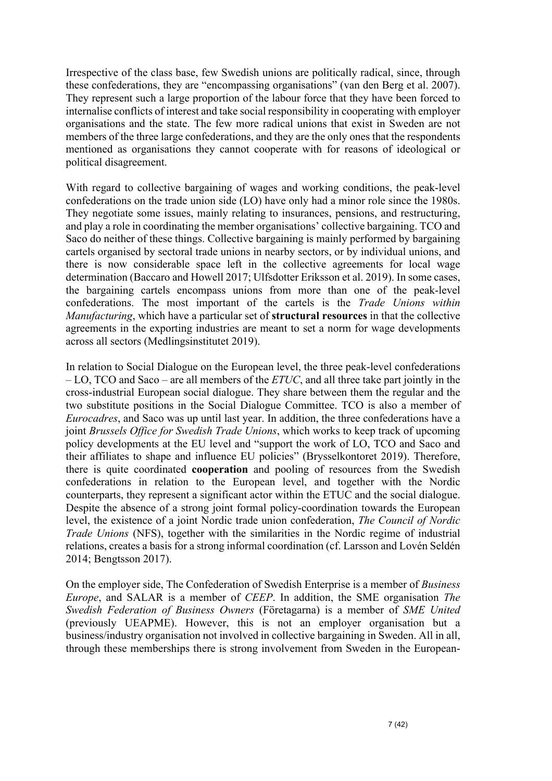Irrespective of the class base, few Swedish unions are politically radical, since, through these confederations, they are "encompassing organisations" (van den Berg et al. 2007). They represent such a large proportion of the labour force that they have been forced to internalise conflicts of interest and take social responsibility in cooperating with employer organisations and the state. The few more radical unions that exist in Sweden are not members of the three large confederations, and they are the only ones that the respondents mentioned as organisations they cannot cooperate with for reasons of ideological or political disagreement.

With regard to collective bargaining of wages and working conditions, the peak-level confederations on the trade union side (LO) have only had a minor role since the 1980s. They negotiate some issues, mainly relating to insurances, pensions, and restructuring, and play a role in coordinating the member organisations' collective bargaining. TCO and Saco do neither of these things. Collective bargaining is mainly performed by bargaining cartels organised by sectoral trade unions in nearby sectors, or by individual unions, and there is now considerable space left in the collective agreements for local wage determination (Baccaro and Howell 2017; Ulfsdotter Eriksson et al. 2019). In some cases, the bargaining cartels encompass unions from more than one of the peak-level confederations. The most important of the cartels is the *Trade Unions within Manufacturing*, which have a particular set of **structural resources** in that the collective agreements in the exporting industries are meant to set a norm for wage developments across all sectors (Medlingsinstitutet 2019).

In relation to Social Dialogue on the European level, the three peak-level confederations – LO, TCO and Saco – are all members of the *ETUC*, and all three take part jointly in the cross-industrial European social dialogue. They share between them the regular and the two substitute positions in the Social Dialogue Committee. TCO is also a member of *Eurocadres*, and Saco was up until last year. In addition, the three confederations have a joint *Brussels Office for Swedish Trade Unions*, which works to keep track of upcoming policy developments at the EU level and "support the work of LO, TCO and Saco and their affiliates to shape and influence EU policies" (Brysselkontoret 2019). Therefore, there is quite coordinated **cooperation** and pooling of resources from the Swedish confederations in relation to the European level, and together with the Nordic counterparts, they represent a significant actor within the ETUC and the social dialogue. Despite the absence of a strong joint formal policy-coordination towards the European level, the existence of a joint Nordic trade union confederation, *The Council of Nordic Trade Unions* (NFS), together with the similarities in the Nordic regime of industrial relations, creates a basis for a strong informal coordination (cf. Larsson and Lovén Seldén 2014; Bengtsson 2017).

On the employer side, The Confederation of Swedish Enterprise is a member of *Business Europe*, and SALAR is a member of *CEEP*. In addition, the SME organisation *The Swedish Federation of Business Owners* (Företagarna) is a member of *SME United* (previously UEAPME). However, this is not an employer organisation but a business/industry organisation not involved in collective bargaining in Sweden. All in all, through these memberships there is strong involvement from Sweden in the European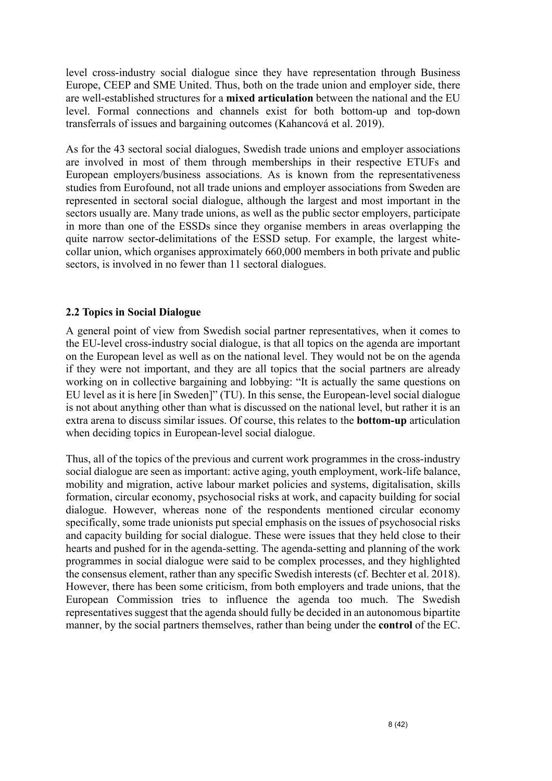level cross-industry social dialogue since they have representation through Business Europe, CEEP and SME United. Thus, both on the trade union and employer side, there are well-established structures for a **mixed articulation** between the national and the EU level. Formal connections and channels exist for both bottom-up and top-down transferrals of issues and bargaining outcomes (Kahancová et al. 2019).

As for the 43 sectoral social dialogues, Swedish trade unions and employer associations are involved in most of them through memberships in their respective ETUFs and European employers/business associations. As is known from the representativeness studies from Eurofound, not all trade unions and employer associations from Sweden are represented in sectoral social dialogue, although the largest and most important in the sectors usually are. Many trade unions, as well as the public sector employers, participate in more than one of the ESSDs since they organise members in areas overlapping the quite narrow sector-delimitations of the ESSD setup. For example, the largest whitecollar union, which organises approximately 660,000 members in both private and public sectors, is involved in no fewer than 11 sectoral dialogues.

#### **2.2 Topics in Social Dialogue**

A general point of view from Swedish social partner representatives, when it comes to the EU-level cross-industry social dialogue, is that all topics on the agenda are important on the European level as well as on the national level. They would not be on the agenda if they were not important, and they are all topics that the social partners are already working on in collective bargaining and lobbying: "It is actually the same questions on EU level as it is here [in Sweden]" (TU). In this sense, the European-level social dialogue is not about anything other than what is discussed on the national level, but rather it is an extra arena to discuss similar issues. Of course, this relates to the **bottom-up** articulation when deciding topics in European-level social dialogue.

Thus, all of the topics of the previous and current work programmes in the cross-industry social dialogue are seen as important: active aging, youth employment, work-life balance, mobility and migration, active labour market policies and systems, digitalisation, skills formation, circular economy, psychosocial risks at work, and capacity building for social dialogue. However, whereas none of the respondents mentioned circular economy specifically, some trade unionists put special emphasis on the issues of psychosocial risks and capacity building for social dialogue. These were issues that they held close to their hearts and pushed for in the agenda-setting. The agenda-setting and planning of the work programmes in social dialogue were said to be complex processes, and they highlighted the consensus element, rather than any specific Swedish interests (cf. Bechter et al. 2018). However, there has been some criticism, from both employers and trade unions, that the European Commission tries to influence the agenda too much. The Swedish representatives suggest that the agenda should fully be decided in an autonomous bipartite manner, by the social partners themselves, rather than being under the **control** of the EC.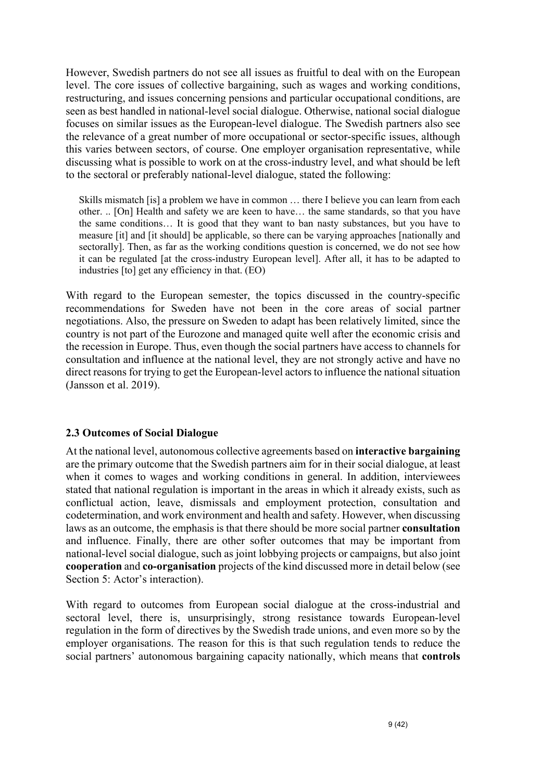However, Swedish partners do not see all issues as fruitful to deal with on the European level. The core issues of collective bargaining, such as wages and working conditions, restructuring, and issues concerning pensions and particular occupational conditions, are seen as best handled in national-level social dialogue. Otherwise, national social dialogue focuses on similar issues as the European-level dialogue. The Swedish partners also see the relevance of a great number of more occupational or sector-specific issues, although this varies between sectors, of course. One employer organisation representative, while discussing what is possible to work on at the cross-industry level, and what should be left to the sectoral or preferably national-level dialogue, stated the following:

Skills mismatch [is] a problem we have in common … there I believe you can learn from each other. .. [On] Health and safety we are keen to have… the same standards, so that you have the same conditions… It is good that they want to ban nasty substances, but you have to measure [it] and [it should] be applicable, so there can be varying approaches [nationally and sectorally]. Then, as far as the working conditions question is concerned, we do not see how it can be regulated [at the cross-industry European level]. After all, it has to be adapted to industries [to] get any efficiency in that. (EO)

With regard to the European semester, the topics discussed in the country-specific recommendations for Sweden have not been in the core areas of social partner negotiations. Also, the pressure on Sweden to adapt has been relatively limited, since the country is not part of the Eurozone and managed quite well after the economic crisis and the recession in Europe. Thus, even though the social partners have access to channels for consultation and influence at the national level, they are not strongly active and have no direct reasons for trying to get the European-level actors to influence the national situation (Jansson et al. 2019).

#### **2.3 Outcomes of Social Dialogue**

At the national level, autonomous collective agreements based on **interactive bargaining** are the primary outcome that the Swedish partners aim for in their social dialogue, at least when it comes to wages and working conditions in general. In addition, interviewees stated that national regulation is important in the areas in which it already exists, such as conflictual action, leave, dismissals and employment protection, consultation and codetermination, and work environment and health and safety. However, when discussing laws as an outcome, the emphasis is that there should be more social partner **consultation** and influence. Finally, there are other softer outcomes that may be important from national-level social dialogue, such as joint lobbying projects or campaigns, but also joint **cooperation** and **co-organisation** projects of the kind discussed more in detail below (see Section 5: Actor's interaction).

With regard to outcomes from European social dialogue at the cross-industrial and sectoral level, there is, unsurprisingly, strong resistance towards European-level regulation in the form of directives by the Swedish trade unions, and even more so by the employer organisations. The reason for this is that such regulation tends to reduce the social partners' autonomous bargaining capacity nationally, which means that **controls**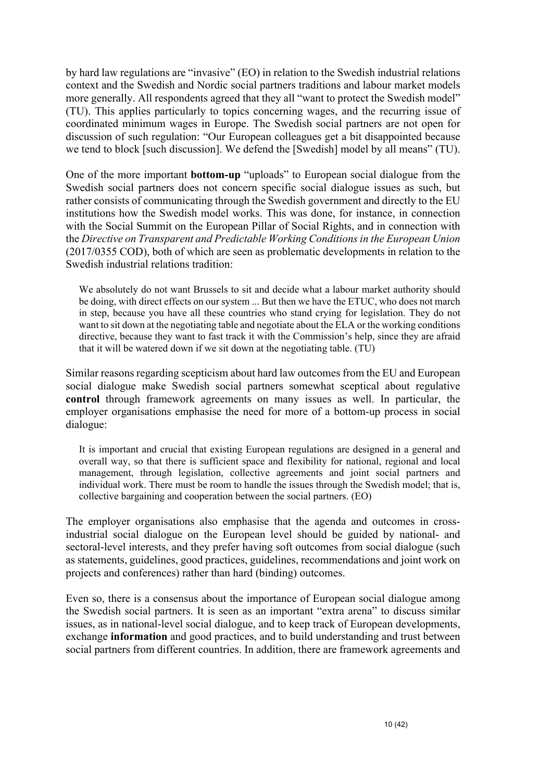by hard law regulations are "invasive" (EO) in relation to the Swedish industrial relations context and the Swedish and Nordic social partners traditions and labour market models more generally. All respondents agreed that they all "want to protect the Swedish model" (TU). This applies particularly to topics concerning wages, and the recurring issue of coordinated minimum wages in Europe. The Swedish social partners are not open for discussion of such regulation: "Our European colleagues get a bit disappointed because we tend to block [such discussion]. We defend the [Swedish] model by all means" (TU).

One of the more important **bottom-up** "uploads" to European social dialogue from the Swedish social partners does not concern specific social dialogue issues as such, but rather consists of communicating through the Swedish government and directly to the EU institutions how the Swedish model works. This was done, for instance, in connection with the Social Summit on the European Pillar of Social Rights, and in connection with the *Directive on Transparent and Predictable Working Conditions in the European Union* (2017/0355 COD), both of which are seen as problematic developments in relation to the Swedish industrial relations tradition:

We absolutely do not want Brussels to sit and decide what a labour market authority should be doing, with direct effects on our system ... But then we have the ETUC, who does not march in step, because you have all these countries who stand crying for legislation. They do not want to sit down at the negotiating table and negotiate about the ELA or the working conditions directive, because they want to fast track it with the Commission's help, since they are afraid that it will be watered down if we sit down at the negotiating table. (TU)

Similar reasons regarding scepticism about hard law outcomes from the EU and European social dialogue make Swedish social partners somewhat sceptical about regulative **control** through framework agreements on many issues as well. In particular, the employer organisations emphasise the need for more of a bottom-up process in social dialogue:

It is important and crucial that existing European regulations are designed in a general and overall way, so that there is sufficient space and flexibility for national, regional and local management, through legislation, collective agreements and joint social partners and individual work. There must be room to handle the issues through the Swedish model; that is, collective bargaining and cooperation between the social partners. (EO)

The employer organisations also emphasise that the agenda and outcomes in crossindustrial social dialogue on the European level should be guided by national- and sectoral-level interests, and they prefer having soft outcomes from social dialogue (such as statements, guidelines, good practices, guidelines, recommendations and joint work on projects and conferences) rather than hard (binding) outcomes.

Even so, there is a consensus about the importance of European social dialogue among the Swedish social partners. It is seen as an important "extra arena" to discuss similar issues, as in national-level social dialogue, and to keep track of European developments, exchange **information** and good practices, and to build understanding and trust between social partners from different countries. In addition, there are framework agreements and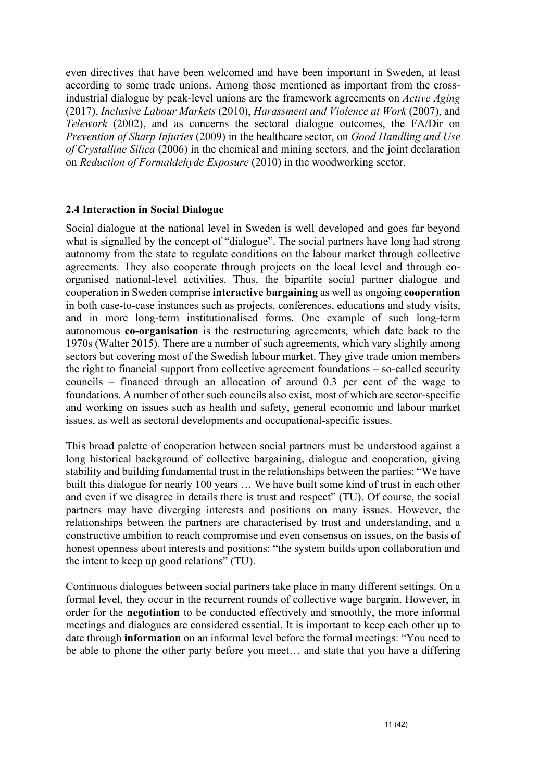even directives that have been welcomed and have been important in Sweden, at least according to some trade unions. Among those mentioned as important from the crossindustrial dialogue by peak-level unions are the framework agreements on *Active Aging* (2017), *Inclusive Labour Markets* (2010), *Harassment and Violence at Work* (2007), and *Telework* (2002), and as concerns the sectoral dialogue outcomes, the FA/Dir on *Prevention of Sharp Injuries* (2009) in the healthcare sector, on *Good Handling and Use of Crystalline Silica* (2006) in the chemical and mining sectors, and the joint declaration on *Reduction of Formaldehyde Exposure* (2010) in the woodworking sector.

#### **2.4 Interaction in Social Dialogue**

Social dialogue at the national level in Sweden is well developed and goes far beyond what is signalled by the concept of "dialogue". The social partners have long had strong autonomy from the state to regulate conditions on the labour market through collective agreements. They also cooperate through projects on the local level and through coorganised national-level activities. Thus, the bipartite social partner dialogue and cooperation in Sweden comprise **interactive bargaining** as well as ongoing **cooperation**  in both case-to-case instances such as projects, conferences, educations and study visits, and in more long-term institutionalised forms. One example of such long-term autonomous **co-organisation** is the restructuring agreements, which date back to the 1970s (Walter 2015). There are a number of such agreements, which vary slightly among sectors but covering most of the Swedish labour market. They give trade union members the right to financial support from collective agreement foundations – so-called security councils – financed through an allocation of around 0.3 per cent of the wage to foundations. A number of other such councils also exist, most of which are sector-specific and working on issues such as health and safety, general economic and labour market issues, as well as sectoral developments and occupational-specific issues.

This broad palette of cooperation between social partners must be understood against a long historical background of collective bargaining, dialogue and cooperation, giving stability and building fundamental trust in the relationships between the parties: "We have built this dialogue for nearly 100 years … We have built some kind of trust in each other and even if we disagree in details there is trust and respect" (TU). Of course, the social partners may have diverging interests and positions on many issues. However, the relationships between the partners are characterised by trust and understanding, and a constructive ambition to reach compromise and even consensus on issues, on the basis of honest openness about interests and positions: "the system builds upon collaboration and the intent to keep up good relations" (TU).

Continuous dialogues between social partners take place in many different settings. On a formal level, they occur in the recurrent rounds of collective wage bargain. However, in order for the **negotiation** to be conducted effectively and smoothly, the more informal meetings and dialogues are considered essential. It is important to keep each other up to date through **information** on an informal level before the formal meetings: "You need to be able to phone the other party before you meet… and state that you have a differing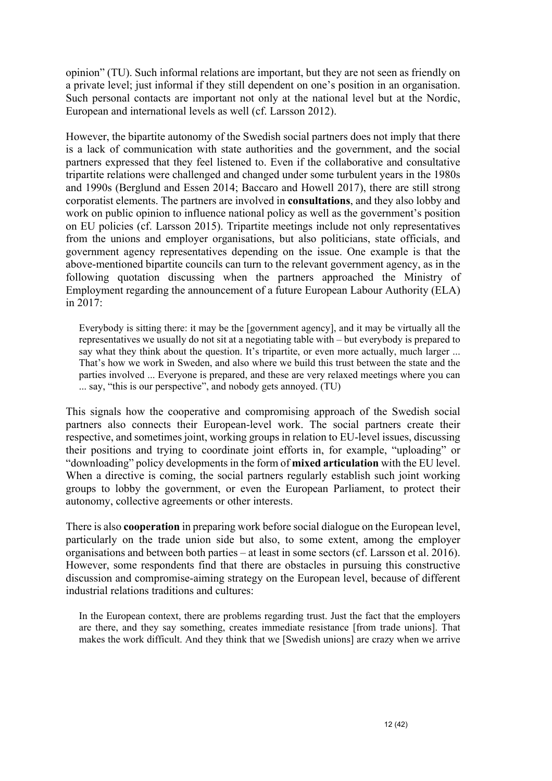opinion" (TU). Such informal relations are important, but they are not seen as friendly on a private level; just informal if they still dependent on one's position in an organisation. Such personal contacts are important not only at the national level but at the Nordic, European and international levels as well (cf. Larsson 2012).

However, the bipartite autonomy of the Swedish social partners does not imply that there is a lack of communication with state authorities and the government, and the social partners expressed that they feel listened to. Even if the collaborative and consultative tripartite relations were challenged and changed under some turbulent years in the 1980s and 1990s (Berglund and Essen 2014; Baccaro and Howell 2017), there are still strong corporatist elements. The partners are involved in **consultations**, and they also lobby and work on public opinion to influence national policy as well as the government's position on EU policies (cf. Larsson 2015). Tripartite meetings include not only representatives from the unions and employer organisations, but also politicians, state officials, and government agency representatives depending on the issue. One example is that the above-mentioned bipartite councils can turn to the relevant government agency, as in the following quotation discussing when the partners approached the Ministry of Employment regarding the announcement of a future European Labour Authority (ELA) in 2017:

Everybody is sitting there: it may be the [government agency], and it may be virtually all the representatives we usually do not sit at a negotiating table with – but everybody is prepared to say what they think about the question. It's tripartite, or even more actually, much larger ... That's how we work in Sweden, and also where we build this trust between the state and the parties involved ... Everyone is prepared, and these are very relaxed meetings where you can ... say, "this is our perspective", and nobody gets annoyed. (TU)

This signals how the cooperative and compromising approach of the Swedish social partners also connects their European-level work. The social partners create their respective, and sometimes joint, working groups in relation to EU-level issues, discussing their positions and trying to coordinate joint efforts in, for example, "uploading" or "downloading" policy developments in the form of **mixed articulation** with the EU level. When a directive is coming, the social partners regularly establish such joint working groups to lobby the government, or even the European Parliament, to protect their autonomy, collective agreements or other interests.

There is also **cooperation** in preparing work before social dialogue on the European level, particularly on the trade union side but also, to some extent, among the employer organisations and between both parties – at least in some sectors (cf. Larsson et al. 2016). However, some respondents find that there are obstacles in pursuing this constructive discussion and compromise-aiming strategy on the European level, because of different industrial relations traditions and cultures:

In the European context, there are problems regarding trust. Just the fact that the employers are there, and they say something, creates immediate resistance [from trade unions]. That makes the work difficult. And they think that we [Swedish unions] are crazy when we arrive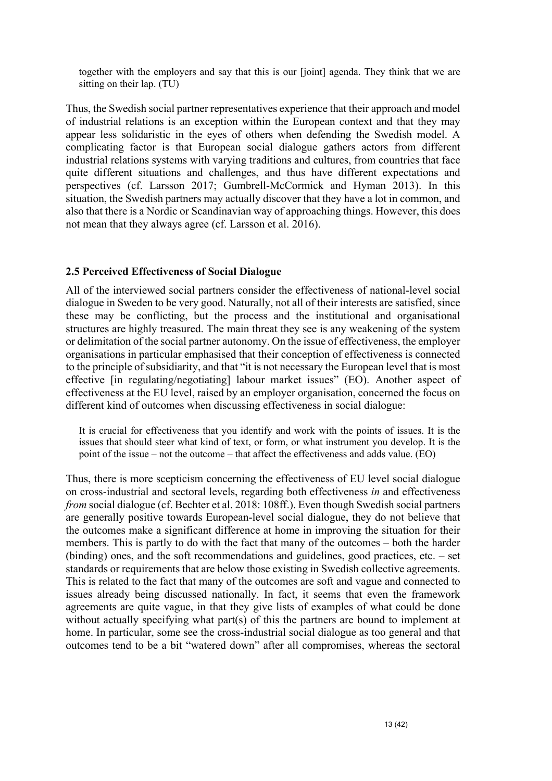together with the employers and say that this is our [joint] agenda. They think that we are sitting on their lap. (TU)

Thus, the Swedish social partner representatives experience that their approach and model of industrial relations is an exception within the European context and that they may appear less solidaristic in the eyes of others when defending the Swedish model. A complicating factor is that European social dialogue gathers actors from different industrial relations systems with varying traditions and cultures, from countries that face quite different situations and challenges, and thus have different expectations and perspectives (cf. Larsson 2017; Gumbrell-McCormick and Hyman 2013). In this situation, the Swedish partners may actually discover that they have a lot in common, and also that there is a Nordic or Scandinavian way of approaching things. However, this does not mean that they always agree (cf. Larsson et al. 2016).

#### **2.5 Perceived Effectiveness of Social Dialogue**

All of the interviewed social partners consider the effectiveness of national-level social dialogue in Sweden to be very good. Naturally, not all of their interests are satisfied, since these may be conflicting, but the process and the institutional and organisational structures are highly treasured. The main threat they see is any weakening of the system or delimitation of the social partner autonomy. On the issue of effectiveness, the employer organisations in particular emphasised that their conception of effectiveness is connected to the principle of subsidiarity, and that "it is not necessary the European level that is most effective [in regulating/negotiating] labour market issues" (EO). Another aspect of effectiveness at the EU level, raised by an employer organisation, concerned the focus on different kind of outcomes when discussing effectiveness in social dialogue:

It is crucial for effectiveness that you identify and work with the points of issues. It is the issues that should steer what kind of text, or form, or what instrument you develop. It is the point of the issue – not the outcome – that affect the effectiveness and adds value. (EO)

Thus, there is more scepticism concerning the effectiveness of EU level social dialogue on cross-industrial and sectoral levels, regarding both effectiveness *in* and effectiveness *from* social dialogue (cf. Bechter et al. 2018: 108ff.). Even though Swedish social partners are generally positive towards European-level social dialogue, they do not believe that the outcomes make a significant difference at home in improving the situation for their members. This is partly to do with the fact that many of the outcomes – both the harder (binding) ones, and the soft recommendations and guidelines, good practices, etc. – set standards or requirements that are below those existing in Swedish collective agreements. This is related to the fact that many of the outcomes are soft and vague and connected to issues already being discussed nationally. In fact, it seems that even the framework agreements are quite vague, in that they give lists of examples of what could be done without actually specifying what part(s) of this the partners are bound to implement at home. In particular, some see the cross-industrial social dialogue as too general and that outcomes tend to be a bit "watered down" after all compromises, whereas the sectoral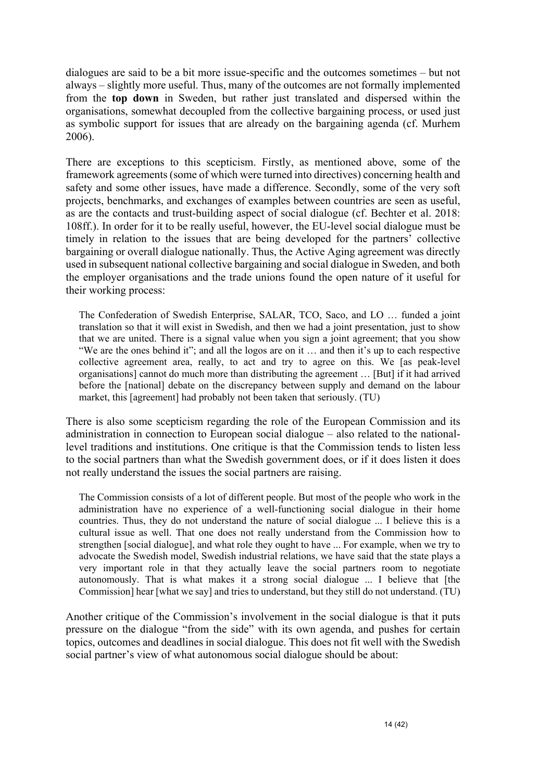dialogues are said to be a bit more issue-specific and the outcomes sometimes – but not always – slightly more useful. Thus, many of the outcomes are not formally implemented from the **top down** in Sweden, but rather just translated and dispersed within the organisations, somewhat decoupled from the collective bargaining process, or used just as symbolic support for issues that are already on the bargaining agenda (cf. Murhem 2006).

There are exceptions to this scepticism. Firstly, as mentioned above, some of the framework agreements (some of which were turned into directives) concerning health and safety and some other issues, have made a difference. Secondly, some of the very soft projects, benchmarks, and exchanges of examples between countries are seen as useful, as are the contacts and trust-building aspect of social dialogue (cf. Bechter et al. 2018: 108ff.). In order for it to be really useful, however, the EU-level social dialogue must be timely in relation to the issues that are being developed for the partners' collective bargaining or overall dialogue nationally. Thus, the Active Aging agreement was directly used in subsequent national collective bargaining and social dialogue in Sweden, and both the employer organisations and the trade unions found the open nature of it useful for their working process:

The Confederation of Swedish Enterprise, SALAR, TCO, Saco, and LO … funded a joint translation so that it will exist in Swedish, and then we had a joint presentation, just to show that we are united. There is a signal value when you sign a joint agreement; that you show "We are the ones behind it"; and all the logos are on it … and then it's up to each respective collective agreement area, really, to act and try to agree on this. We [as peak-level organisations] cannot do much more than distributing the agreement … [But] if it had arrived before the [national] debate on the discrepancy between supply and demand on the labour market, this [agreement] had probably not been taken that seriously. (TU)

There is also some scepticism regarding the role of the European Commission and its administration in connection to European social dialogue – also related to the nationallevel traditions and institutions. One critique is that the Commission tends to listen less to the social partners than what the Swedish government does, or if it does listen it does not really understand the issues the social partners are raising.

The Commission consists of a lot of different people. But most of the people who work in the administration have no experience of a well-functioning social dialogue in their home countries. Thus, they do not understand the nature of social dialogue ... I believe this is a cultural issue as well. That one does not really understand from the Commission how to strengthen [social dialogue], and what role they ought to have ... For example, when we try to advocate the Swedish model, Swedish industrial relations, we have said that the state plays a very important role in that they actually leave the social partners room to negotiate autonomously. That is what makes it a strong social dialogue ... I believe that [the Commission] hear [what we say] and tries to understand, but they still do not understand. (TU)

Another critique of the Commission's involvement in the social dialogue is that it puts pressure on the dialogue "from the side" with its own agenda, and pushes for certain topics, outcomes and deadlines in social dialogue. This does not fit well with the Swedish social partner's view of what autonomous social dialogue should be about: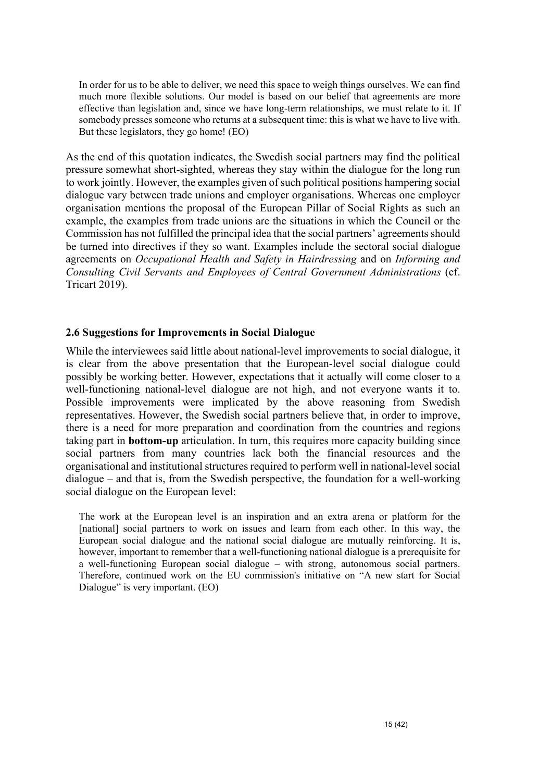In order for us to be able to deliver, we need this space to weigh things ourselves. We can find much more flexible solutions. Our model is based on our belief that agreements are more effective than legislation and, since we have long-term relationships, we must relate to it. If somebody presses someone who returns at a subsequent time: this is what we have to live with. But these legislators, they go home! (EO)

As the end of this quotation indicates, the Swedish social partners may find the political pressure somewhat short-sighted, whereas they stay within the dialogue for the long run to work jointly. However, the examples given of such political positions hampering social dialogue vary between trade unions and employer organisations. Whereas one employer organisation mentions the proposal of the European Pillar of Social Rights as such an example, the examples from trade unions are the situations in which the Council or the Commission has not fulfilled the principal idea that the social partners' agreements should be turned into directives if they so want. Examples include the sectoral social dialogue agreements on *Occupational Health and Safety in Hairdressing* and on *Informing and Consulting Civil Servants and Employees of Central Government Administrations* (cf. Tricart 2019).

#### **2.6 Suggestions for Improvements in Social Dialogue**

While the interviewees said little about national-level improvements to social dialogue, it is clear from the above presentation that the European-level social dialogue could possibly be working better. However, expectations that it actually will come closer to a well-functioning national-level dialogue are not high, and not everyone wants it to. Possible improvements were implicated by the above reasoning from Swedish representatives. However, the Swedish social partners believe that, in order to improve, there is a need for more preparation and coordination from the countries and regions taking part in **bottom-up** articulation. In turn, this requires more capacity building since social partners from many countries lack both the financial resources and the organisational and institutional structures required to perform well in national-level social dialogue – and that is, from the Swedish perspective, the foundation for a well-working social dialogue on the European level:

The work at the European level is an inspiration and an extra arena or platform for the [national] social partners to work on issues and learn from each other. In this way, the European social dialogue and the national social dialogue are mutually reinforcing. It is, however, important to remember that a well-functioning national dialogue is a prerequisite for a well-functioning European social dialogue – with strong, autonomous social partners. Therefore, continued work on the EU commission's initiative on "A new start for Social Dialogue" is very important. (EO)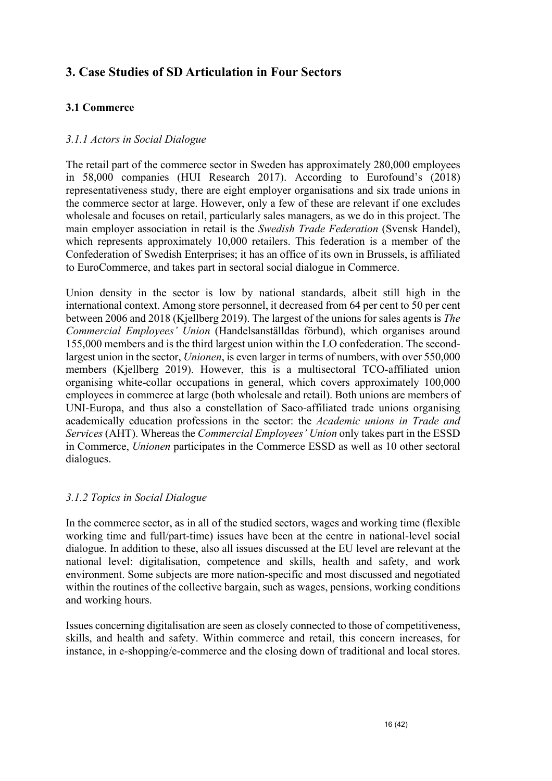#### **3. Case Studies of SD Articulation in Four Sectors**

#### **3.1 Commerce**

#### *3.1.1 Actors in Social Dialogue*

The retail part of the commerce sector in Sweden has approximately 280,000 employees in 58,000 companies (HUI Research 2017). According to Eurofound's (2018) representativeness study, there are eight employer organisations and six trade unions in the commerce sector at large. However, only a few of these are relevant if one excludes wholesale and focuses on retail, particularly sales managers, as we do in this project. The main employer association in retail is the *Swedish Trade Federation* (Svensk Handel), which represents approximately 10,000 retailers. This federation is a member of the Confederation of Swedish Enterprises; it has an office of its own in Brussels, is affiliated to EuroCommerce, and takes part in sectoral social dialogue in Commerce.

Union density in the sector is low by national standards, albeit still high in the international context. Among store personnel, it decreased from 64 per cent to 50 per cent between 2006 and 2018 (Kjellberg 2019). The largest of the unions for sales agents is *The Commercial Employees' Union* (Handelsanställdas förbund), which organises around 155,000 members and is the third largest union within the LO confederation. The secondlargest union in the sector, *Unionen*, is even larger in terms of numbers, with over 550,000 members (Kjellberg 2019). However, this is a multisectoral TCO-affiliated union organising white-collar occupations in general, which covers approximately 100,000 employees in commerce at large (both wholesale and retail). Both unions are members of UNI-Europa, and thus also a constellation of Saco-affiliated trade unions organising academically education professions in the sector: the *Academic unions in Trade and Services* (AHT). Whereas the *Commercial Employees' Union* only takes part in the ESSD in Commerce, *Unionen* participates in the Commerce ESSD as well as 10 other sectoral dialogues.

#### *3.1.2 Topics in Social Dialogue*

In the commerce sector, as in all of the studied sectors, wages and working time (flexible working time and full/part-time) issues have been at the centre in national-level social dialogue. In addition to these, also all issues discussed at the EU level are relevant at the national level: digitalisation, competence and skills, health and safety, and work environment. Some subjects are more nation-specific and most discussed and negotiated within the routines of the collective bargain, such as wages, pensions, working conditions and working hours.

Issues concerning digitalisation are seen as closely connected to those of competitiveness, skills, and health and safety. Within commerce and retail, this concern increases, for instance, in e-shopping/e-commerce and the closing down of traditional and local stores.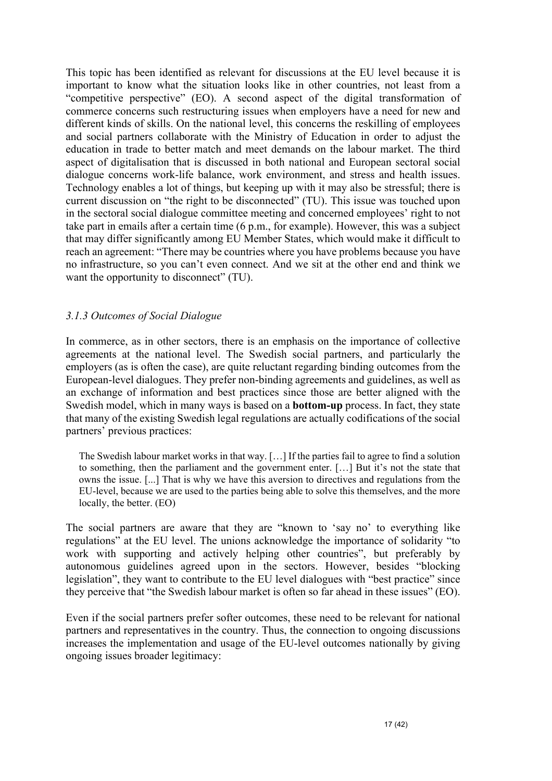This topic has been identified as relevant for discussions at the EU level because it is important to know what the situation looks like in other countries, not least from a "competitive perspective" (EO). A second aspect of the digital transformation of commerce concerns such restructuring issues when employers have a need for new and different kinds of skills. On the national level, this concerns the reskilling of employees and social partners collaborate with the Ministry of Education in order to adjust the education in trade to better match and meet demands on the labour market. The third aspect of digitalisation that is discussed in both national and European sectoral social dialogue concerns work-life balance, work environment, and stress and health issues. Technology enables a lot of things, but keeping up with it may also be stressful; there is current discussion on "the right to be disconnected" (TU). This issue was touched upon in the sectoral social dialogue committee meeting and concerned employees' right to not take part in emails after a certain time (6 p.m., for example). However, this was a subject that may differ significantly among EU Member States, which would make it difficult to reach an agreement: "There may be countries where you have problems because you have no infrastructure, so you can't even connect. And we sit at the other end and think we want the opportunity to disconnect" (TU).

#### *3.1.3 Outcomes of Social Dialogue*

In commerce, as in other sectors, there is an emphasis on the importance of collective agreements at the national level. The Swedish social partners, and particularly the employers (as is often the case), are quite reluctant regarding binding outcomes from the European-level dialogues. They prefer non-binding agreements and guidelines, as well as an exchange of information and best practices since those are better aligned with the Swedish model, which in many ways is based on a **bottom-up** process. In fact, they state that many of the existing Swedish legal regulations are actually codifications of the social partners' previous practices:

The Swedish labour market works in that way. […] If the parties fail to agree to find a solution to something, then the parliament and the government enter. […] But it's not the state that owns the issue. [...] That is why we have this aversion to directives and regulations from the EU-level, because we are used to the parties being able to solve this themselves, and the more locally, the better. (EO)

The social partners are aware that they are "known to 'say no' to everything like regulations" at the EU level. The unions acknowledge the importance of solidarity "to work with supporting and actively helping other countries", but preferably by autonomous guidelines agreed upon in the sectors. However, besides "blocking legislation", they want to contribute to the EU level dialogues with "best practice" since they perceive that "the Swedish labour market is often so far ahead in these issues" (EO).

Even if the social partners prefer softer outcomes, these need to be relevant for national partners and representatives in the country. Thus, the connection to ongoing discussions increases the implementation and usage of the EU-level outcomes nationally by giving ongoing issues broader legitimacy: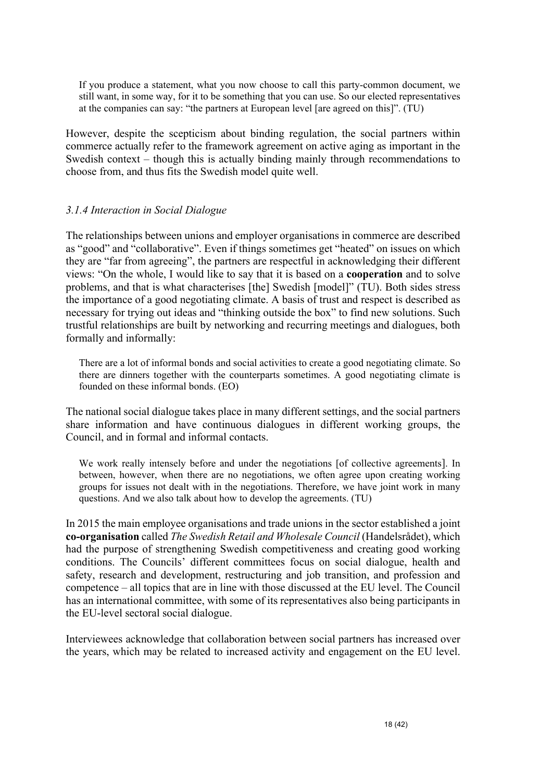If you produce a statement, what you now choose to call this party-common document, we still want, in some way, for it to be something that you can use. So our elected representatives at the companies can say: "the partners at European level [are agreed on this]". (TU)

However, despite the scepticism about binding regulation, the social partners within commerce actually refer to the framework agreement on active aging as important in the Swedish context – though this is actually binding mainly through recommendations to choose from, and thus fits the Swedish model quite well.

#### *3.1.4 Interaction in Social Dialogue*

The relationships between unions and employer organisations in commerce are described as "good" and "collaborative". Even if things sometimes get "heated" on issues on which they are "far from agreeing", the partners are respectful in acknowledging their different views: "On the whole, I would like to say that it is based on a **cooperation** and to solve problems, and that is what characterises [the] Swedish [model]" (TU). Both sides stress the importance of a good negotiating climate. A basis of trust and respect is described as necessary for trying out ideas and "thinking outside the box" to find new solutions. Such trustful relationships are built by networking and recurring meetings and dialogues, both formally and informally:

There are a lot of informal bonds and social activities to create a good negotiating climate. So there are dinners together with the counterparts sometimes. A good negotiating climate is founded on these informal bonds. (EO)

The national social dialogue takes place in many different settings, and the social partners share information and have continuous dialogues in different working groups, the Council, and in formal and informal contacts.

We work really intensely before and under the negotiations [of collective agreements]. In between, however, when there are no negotiations, we often agree upon creating working groups for issues not dealt with in the negotiations. Therefore, we have joint work in many questions. And we also talk about how to develop the agreements. (TU)

In 2015 the main employee organisations and trade unions in the sector established a joint **co-organisation** called *The Swedish Retail and Wholesale Council* (Handelsrådet), which had the purpose of strengthening Swedish competitiveness and creating good working conditions. The Councils' different committees focus on social dialogue, health and safety, research and development, restructuring and job transition, and profession and competence – all topics that are in line with those discussed at the EU level. The Council has an international committee, with some of its representatives also being participants in the EU-level sectoral social dialogue.

Interviewees acknowledge that collaboration between social partners has increased over the years, which may be related to increased activity and engagement on the EU level.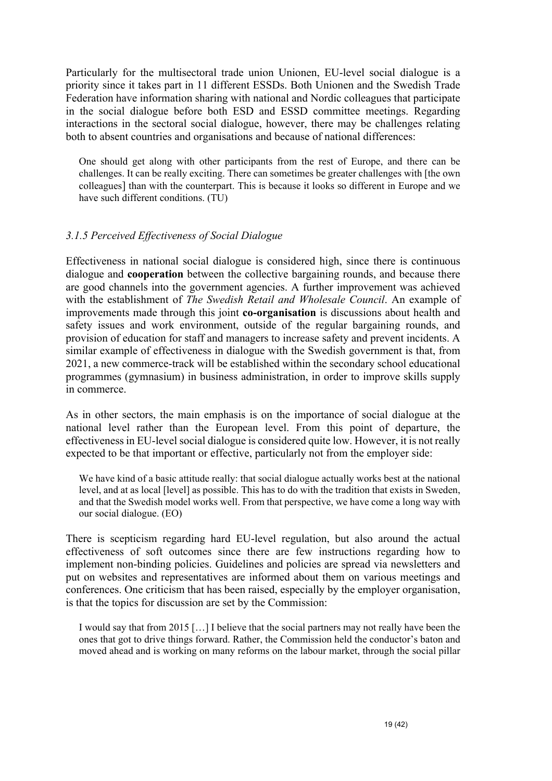Particularly for the multisectoral trade union Unionen, EU-level social dialogue is a priority since it takes part in 11 different ESSDs. Both Unionen and the Swedish Trade Federation have information sharing with national and Nordic colleagues that participate in the social dialogue before both ESD and ESSD committee meetings. Regarding interactions in the sectoral social dialogue, however, there may be challenges relating both to absent countries and organisations and because of national differences:

One should get along with other participants from the rest of Europe, and there can be challenges. It can be really exciting. There can sometimes be greater challenges with [the own colleagues] than with the counterpart. This is because it looks so different in Europe and we have such different conditions. (TU)

#### *3.1.5 Perceived Effectiveness of Social Dialogue*

Effectiveness in national social dialogue is considered high, since there is continuous dialogue and **cooperation** between the collective bargaining rounds, and because there are good channels into the government agencies. A further improvement was achieved with the establishment of *The Swedish Retail and Wholesale Council*. An example of improvements made through this joint **co-organisation** is discussions about health and safety issues and work environment, outside of the regular bargaining rounds, and provision of education for staff and managers to increase safety and prevent incidents. A similar example of effectiveness in dialogue with the Swedish government is that, from 2021, a new commerce-track will be established within the secondary school educational programmes (gymnasium) in business administration, in order to improve skills supply in commerce.

As in other sectors, the main emphasis is on the importance of social dialogue at the national level rather than the European level. From this point of departure, the effectiveness in EU-level social dialogue is considered quite low. However, it is not really expected to be that important or effective, particularly not from the employer side:

We have kind of a basic attitude really: that social dialogue actually works best at the national level, and at as local [level] as possible. This has to do with the tradition that exists in Sweden, and that the Swedish model works well. From that perspective, we have come a long way with our social dialogue. (EO)

There is scepticism regarding hard EU-level regulation, but also around the actual effectiveness of soft outcomes since there are few instructions regarding how to implement non-binding policies. Guidelines and policies are spread via newsletters and put on websites and representatives are informed about them on various meetings and conferences. One criticism that has been raised, especially by the employer organisation, is that the topics for discussion are set by the Commission:

I would say that from 2015 […] I believe that the social partners may not really have been the ones that got to drive things forward. Rather, the Commission held the conductor's baton and moved ahead and is working on many reforms on the labour market, through the social pillar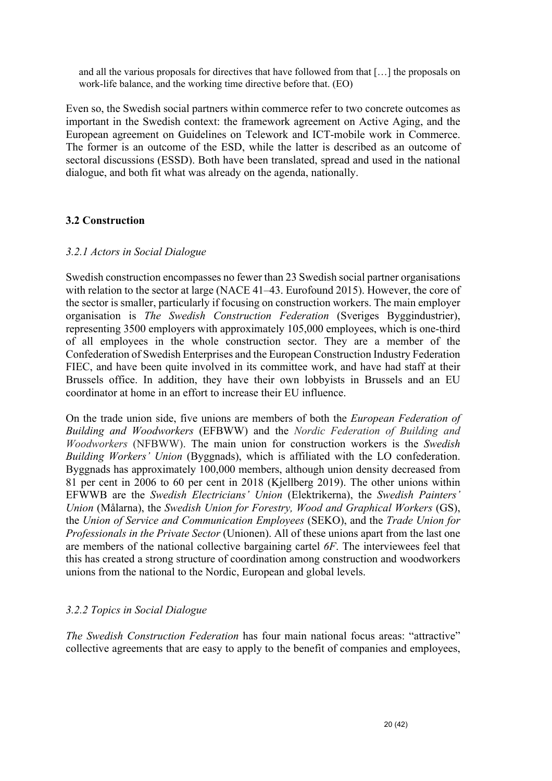and all the various proposals for directives that have followed from that […] the proposals on work-life balance, and the working time directive before that. (EO)

Even so, the Swedish social partners within commerce refer to two concrete outcomes as important in the Swedish context: the framework agreement on Active Aging, and the European agreement on Guidelines on Telework and ICT-mobile work in Commerce. The former is an outcome of the ESD, while the latter is described as an outcome of sectoral discussions (ESSD). Both have been translated, spread and used in the national dialogue, and both fit what was already on the agenda, nationally.

#### **3.2 Construction**

#### *3.2.1 Actors in Social Dialogue*

Swedish construction encompasses no fewer than 23 Swedish social partner organisations with relation to the sector at large (NACE 41–43. Eurofound 2015). However, the core of the sector is smaller, particularly if focusing on construction workers. The main employer organisation is *The Swedish Construction Federation* (Sveriges Byggindustrier), representing 3500 employers with approximately 105,000 employees, which is one-third of all employees in the whole construction sector. They are a member of the Confederation of Swedish Enterprises and the European Construction Industry Federation FIEC, and have been quite involved in its committee work, and have had staff at their Brussels office. In addition, they have their own lobbyists in Brussels and an EU coordinator at home in an effort to increase their EU influence.

On the trade union side, five unions are members of both the *European Federation of Building and Woodworkers* (EFBWW) and the *Nordic Federation of Building and Woodworkers* (NFBWW). The main union for construction workers is the *Swedish Building Workers' Union* (Byggnads), which is affiliated with the LO confederation. Byggnads has approximately 100,000 members, although union density decreased from 81 per cent in 2006 to 60 per cent in 2018 (Kjellberg 2019). The other unions within EFWWB are the *Swedish Electricians' Union* (Elektrikerna), the *Swedish Painters' Union* (Målarna), the *Swedish Union for Forestry, Wood and Graphical Workers* (GS), the *Union of Service and Communication Employees* (SEKO), and the *Trade Union for Professionals in the Private Sector* (Unionen). All of these unions apart from the last one are members of the national collective bargaining cartel *6F*. The interviewees feel that this has created a strong structure of coordination among construction and woodworkers unions from the national to the Nordic, European and global levels.

#### *3.2.2 Topics in Social Dialogue*

*The Swedish Construction Federation* has four main national focus areas: "attractive" collective agreements that are easy to apply to the benefit of companies and employees,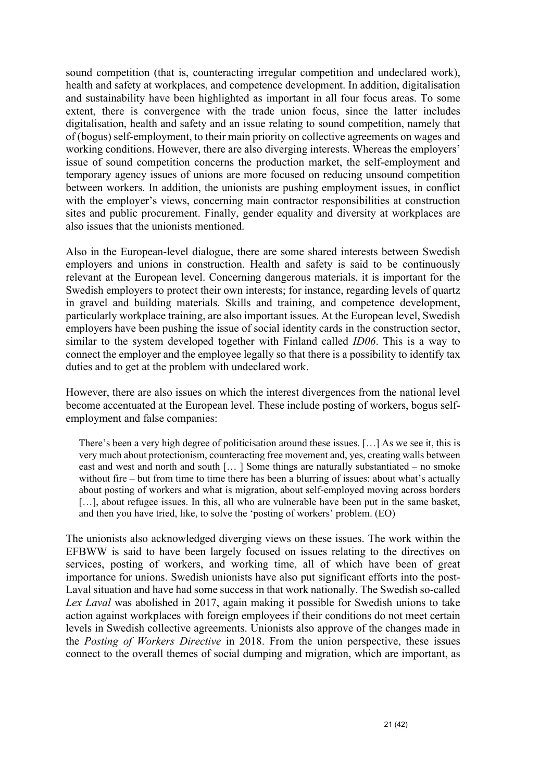sound competition (that is, counteracting irregular competition and undeclared work), health and safety at workplaces, and competence development. In addition, digitalisation and sustainability have been highlighted as important in all four focus areas. To some extent, there is convergence with the trade union focus, since the latter includes digitalisation, health and safety and an issue relating to sound competition, namely that of (bogus) self-employment, to their main priority on collective agreements on wages and working conditions. However, there are also diverging interests. Whereas the employers' issue of sound competition concerns the production market, the self-employment and temporary agency issues of unions are more focused on reducing unsound competition between workers. In addition, the unionists are pushing employment issues, in conflict with the employer's views, concerning main contractor responsibilities at construction sites and public procurement. Finally, gender equality and diversity at workplaces are also issues that the unionists mentioned.

Also in the European-level dialogue, there are some shared interests between Swedish employers and unions in construction. Health and safety is said to be continuously relevant at the European level. Concerning dangerous materials, it is important for the Swedish employers to protect their own interests; for instance, regarding levels of quartz in gravel and building materials. Skills and training, and competence development, particularly workplace training, are also important issues. At the European level, Swedish employers have been pushing the issue of social identity cards in the construction sector, similar to the system developed together with Finland called *ID06*. This is a way to connect the employer and the employee legally so that there is a possibility to identify tax duties and to get at the problem with undeclared work.

However, there are also issues on which the interest divergences from the national level become accentuated at the European level. These include posting of workers, bogus selfemployment and false companies:

There's been a very high degree of politicisation around these issues. […] As we see it, this is very much about protectionism, counteracting free movement and, yes, creating walls between east and west and north and south [… ] Some things are naturally substantiated – no smoke without fire – but from time to time there has been a blurring of issues: about what's actually about posting of workers and what is migration, about self-employed moving across borders [...], about refugee issues. In this, all who are vulnerable have been put in the same basket, and then you have tried, like, to solve the 'posting of workers' problem. (EO)

The unionists also acknowledged diverging views on these issues. The work within the EFBWW is said to have been largely focused on issues relating to the directives on services, posting of workers, and working time, all of which have been of great importance for unions. Swedish unionists have also put significant efforts into the post-Laval situation and have had some success in that work nationally. The Swedish so-called *Lex Laval* was abolished in 2017, again making it possible for Swedish unions to take action against workplaces with foreign employees if their conditions do not meet certain levels in Swedish collective agreements. Unionists also approve of the changes made in the *Posting of Workers Directive* in 2018. From the union perspective, these issues connect to the overall themes of social dumping and migration, which are important, as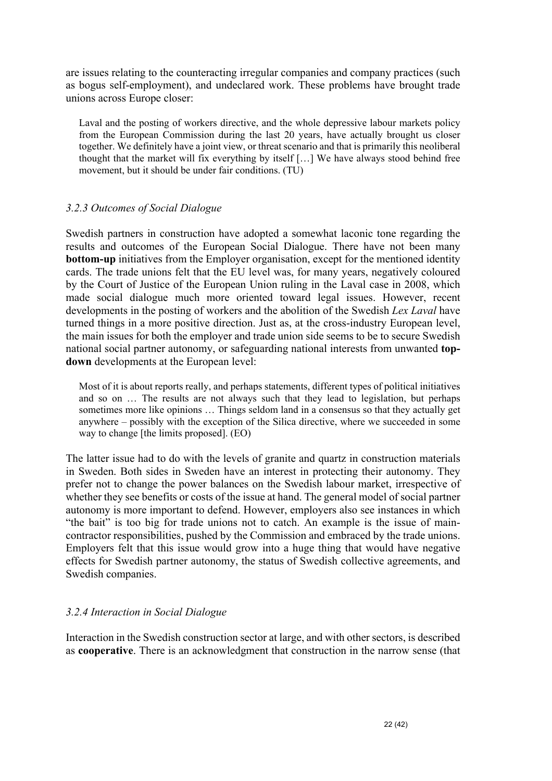are issues relating to the counteracting irregular companies and company practices (such as bogus self-employment), and undeclared work. These problems have brought trade unions across Europe closer:

Laval and the posting of workers directive, and the whole depressive labour markets policy from the European Commission during the last 20 years, have actually brought us closer together. We definitely have a joint view, or threat scenario and that is primarily this neoliberal thought that the market will fix everything by itself […] We have always stood behind free movement, but it should be under fair conditions. (TU)

#### *3.2.3 Outcomes of Social Dialogue*

Swedish partners in construction have adopted a somewhat laconic tone regarding the results and outcomes of the European Social Dialogue. There have not been many **bottom-up** initiatives from the Employer organisation, except for the mentioned identity cards. The trade unions felt that the EU level was, for many years, negatively coloured by the Court of Justice of the European Union ruling in the Laval case in 2008, which made social dialogue much more oriented toward legal issues. However, recent developments in the posting of workers and the abolition of the Swedish *Lex Laval* have turned things in a more positive direction. Just as, at the cross-industry European level, the main issues for both the employer and trade union side seems to be to secure Swedish national social partner autonomy, or safeguarding national interests from unwanted **topdown** developments at the European level:

Most of it is about reports really, and perhaps statements, different types of political initiatives and so on … The results are not always such that they lead to legislation, but perhaps sometimes more like opinions … Things seldom land in a consensus so that they actually get anywhere – possibly with the exception of the Silica directive, where we succeeded in some way to change [the limits proposed]. (EO)

The latter issue had to do with the levels of granite and quartz in construction materials in Sweden. Both sides in Sweden have an interest in protecting their autonomy. They prefer not to change the power balances on the Swedish labour market, irrespective of whether they see benefits or costs of the issue at hand. The general model of social partner autonomy is more important to defend. However, employers also see instances in which "the bait" is too big for trade unions not to catch. An example is the issue of maincontractor responsibilities, pushed by the Commission and embraced by the trade unions. Employers felt that this issue would grow into a huge thing that would have negative effects for Swedish partner autonomy, the status of Swedish collective agreements, and Swedish companies.

#### *3.2.4 Interaction in Social Dialogue*

Interaction in the Swedish construction sector at large, and with other sectors, is described as **cooperative**. There is an acknowledgment that construction in the narrow sense (that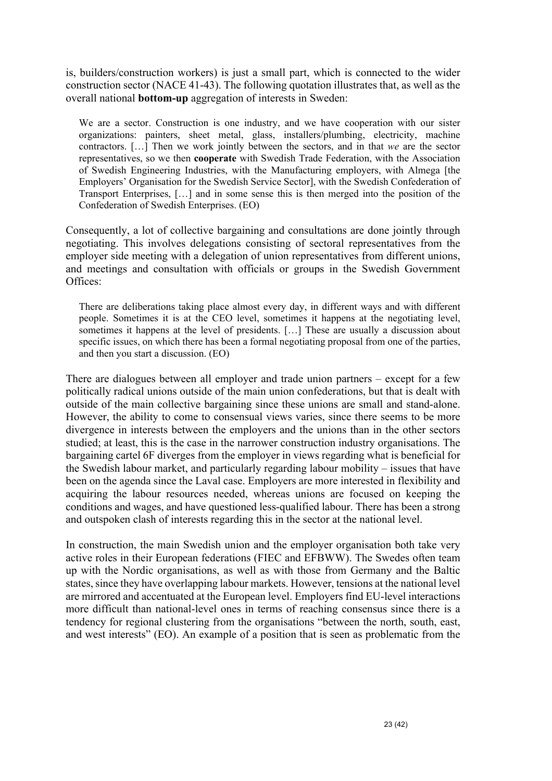is, builders/construction workers) is just a small part, which is connected to the wider construction sector (NACE 41-43). The following quotation illustrates that, as well as the overall national **bottom-up** aggregation of interests in Sweden:

We are a sector. Construction is one industry, and we have cooperation with our sister organizations: painters, sheet metal, glass, installers/plumbing, electricity, machine contractors. […] Then we work jointly between the sectors, and in that *we* are the sector representatives, so we then **cooperate** with Swedish Trade Federation, with the Association of Swedish Engineering Industries, with the Manufacturing employers, with Almega [the Employers' Organisation for the Swedish Service Sector], with the Swedish Confederation of Transport Enterprises, […] and in some sense this is then merged into the position of the Confederation of Swedish Enterprises. (EO)

Consequently, a lot of collective bargaining and consultations are done jointly through negotiating. This involves delegations consisting of sectoral representatives from the employer side meeting with a delegation of union representatives from different unions, and meetings and consultation with officials or groups in the Swedish Government Offices:

There are deliberations taking place almost every day, in different ways and with different people. Sometimes it is at the CEO level, sometimes it happens at the negotiating level, sometimes it happens at the level of presidents. […] These are usually a discussion about specific issues, on which there has been a formal negotiating proposal from one of the parties, and then you start a discussion. (EO)

There are dialogues between all employer and trade union partners – except for a few politically radical unions outside of the main union confederations, but that is dealt with outside of the main collective bargaining since these unions are small and stand-alone. However, the ability to come to consensual views varies, since there seems to be more divergence in interests between the employers and the unions than in the other sectors studied; at least, this is the case in the narrower construction industry organisations. The bargaining cartel 6F diverges from the employer in views regarding what is beneficial for the Swedish labour market, and particularly regarding labour mobility – issues that have been on the agenda since the Laval case. Employers are more interested in flexibility and acquiring the labour resources needed, whereas unions are focused on keeping the conditions and wages, and have questioned less-qualified labour. There has been a strong and outspoken clash of interests regarding this in the sector at the national level.

In construction, the main Swedish union and the employer organisation both take very active roles in their European federations (FIEC and EFBWW). The Swedes often team up with the Nordic organisations, as well as with those from Germany and the Baltic states, since they have overlapping labour markets. However, tensions at the national level are mirrored and accentuated at the European level. Employers find EU-level interactions more difficult than national-level ones in terms of reaching consensus since there is a tendency for regional clustering from the organisations "between the north, south, east, and west interests" (EO). An example of a position that is seen as problematic from the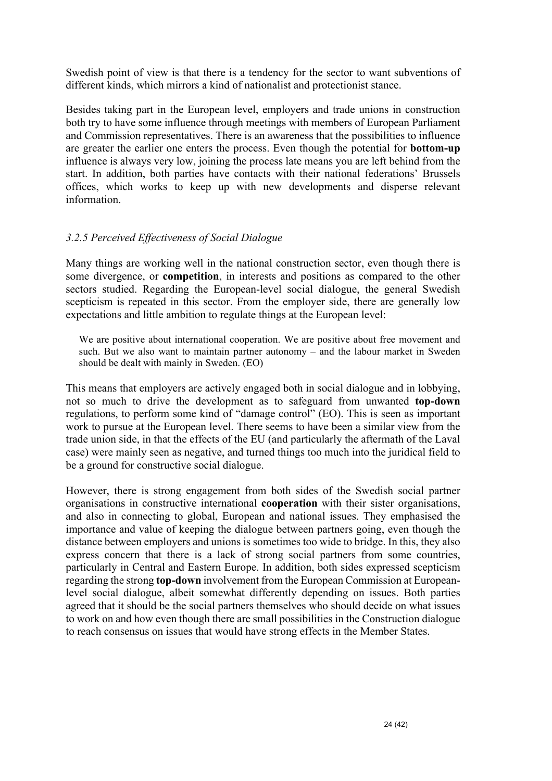Swedish point of view is that there is a tendency for the sector to want subventions of different kinds, which mirrors a kind of nationalist and protectionist stance.

Besides taking part in the European level, employers and trade unions in construction both try to have some influence through meetings with members of European Parliament and Commission representatives. There is an awareness that the possibilities to influence are greater the earlier one enters the process. Even though the potential for **bottom-up** influence is always very low, joining the process late means you are left behind from the start. In addition, both parties have contacts with their national federations' Brussels offices, which works to keep up with new developments and disperse relevant information.

#### *3.2.5 Perceived Effectiveness of Social Dialogue*

Many things are working well in the national construction sector, even though there is some divergence, or **competition**, in interests and positions as compared to the other sectors studied. Regarding the European-level social dialogue, the general Swedish scepticism is repeated in this sector. From the employer side, there are generally low expectations and little ambition to regulate things at the European level:

We are positive about international cooperation. We are positive about free movement and such. But we also want to maintain partner autonomy – and the labour market in Sweden should be dealt with mainly in Sweden. (EO)

This means that employers are actively engaged both in social dialogue and in lobbying, not so much to drive the development as to safeguard from unwanted **top-down** regulations, to perform some kind of "damage control" (EO). This is seen as important work to pursue at the European level. There seems to have been a similar view from the trade union side, in that the effects of the EU (and particularly the aftermath of the Laval case) were mainly seen as negative, and turned things too much into the juridical field to be a ground for constructive social dialogue.

However, there is strong engagement from both sides of the Swedish social partner organisations in constructive international **cooperation** with their sister organisations, and also in connecting to global, European and national issues. They emphasised the importance and value of keeping the dialogue between partners going, even though the distance between employers and unions is sometimes too wide to bridge. In this, they also express concern that there is a lack of strong social partners from some countries, particularly in Central and Eastern Europe. In addition, both sides expressed scepticism regarding the strong **top-down** involvement from the European Commission at Europeanlevel social dialogue, albeit somewhat differently depending on issues. Both parties agreed that it should be the social partners themselves who should decide on what issues to work on and how even though there are small possibilities in the Construction dialogue to reach consensus on issues that would have strong effects in the Member States.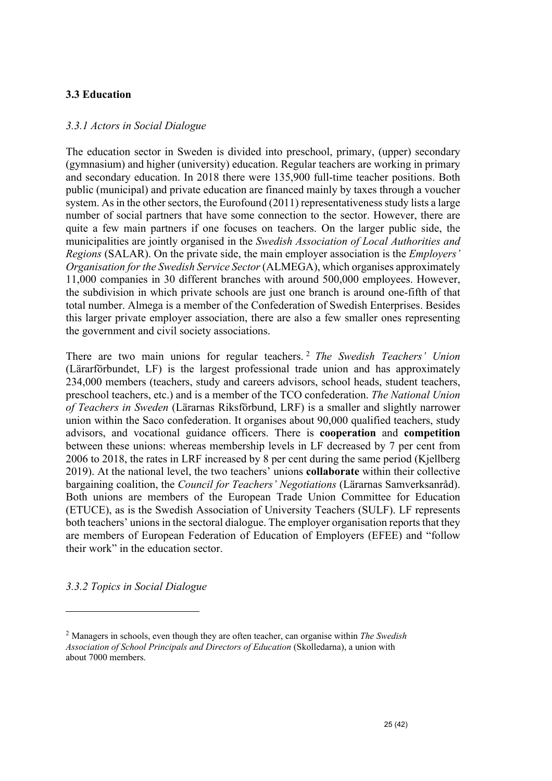#### **3.3 Education**

#### *3.3.1 Actors in Social Dialogue*

The education sector in Sweden is divided into preschool, primary, (upper) secondary (gymnasium) and higher (university) education. Regular teachers are working in primary and secondary education. In 2018 there were 135,900 full-time teacher positions. Both public (municipal) and private education are financed mainly by taxes through a voucher system. As in the other sectors, the Eurofound (2011) representativeness study lists a large number of social partners that have some connection to the sector. However, there are quite a few main partners if one focuses on teachers. On the larger public side, the municipalities are jointly organised in the *Swedish Association of Local Authorities and Regions* (SALAR). On the private side, the main employer association is the *Employers' Organisation for the Swedish Service Sector* (ALMEGA), which organises approximately 11,000 companies in 30 different branches with around 500,000 employees. However, the subdivision in which private schools are just one branch is around one-fifth of that total number. Almega is a member of the Confederation of Swedish Enterprises. Besides this larger private employer association, there are also a few smaller ones representing the government and civil society associations.

There are two main unions for regular teachers. <sup>2</sup> *The Swedish Teachers' Union* (Lärarförbundet, LF) is the largest professional trade union and has approximately 234,000 members (teachers, study and careers advisors, school heads, student teachers, preschool teachers, etc.) and is a member of the TCO confederation. *The National Union of Teachers in Sweden* (Lärarnas Riksförbund, LRF) is a smaller and slightly narrower union within the Saco confederation. It organises about 90,000 qualified teachers, study advisors, and vocational guidance officers. There is **cooperation** and **competition**  between these unions: whereas membership levels in LF decreased by 7 per cent from 2006 to 2018, the rates in LRF increased by 8 per cent during the same period (Kjellberg 2019). At the national level, the two teachers' unions **collaborate** within their collective bargaining coalition, the *Council for Teachers' Negotiations* (Lärarnas Samverksanråd). Both unions are members of the European Trade Union Committee for Education (ETUCE), as is the Swedish Association of University Teachers (SULF). LF represents both teachers' unions in the sectoral dialogue. The employer organisation reports that they are members of European Federation of Education of Employers (EFEE) and "follow their work" in the education sector.

*3.3.2 Topics in Social Dialogue*

<sup>2</sup> Managers in schools, even though they are often teacher, can organise within *The Swedish Association of School Principals and Directors of Education* (Skolledarna), a union with about 7000 members.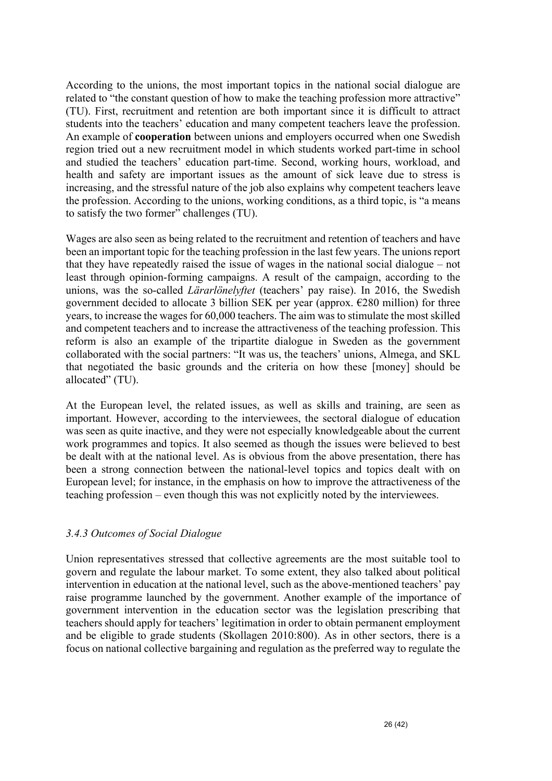According to the unions, the most important topics in the national social dialogue are related to "the constant question of how to make the teaching profession more attractive" (TU). First, recruitment and retention are both important since it is difficult to attract students into the teachers' education and many competent teachers leave the profession. An example of **cooperation** between unions and employers occurred when one Swedish region tried out a new recruitment model in which students worked part-time in school and studied the teachers' education part-time. Second, working hours, workload, and health and safety are important issues as the amount of sick leave due to stress is increasing, and the stressful nature of the job also explains why competent teachers leave the profession. According to the unions, working conditions, as a third topic, is "a means to satisfy the two former" challenges (TU).

Wages are also seen as being related to the recruitment and retention of teachers and have been an important topic for the teaching profession in the last few years. The unions report that they have repeatedly raised the issue of wages in the national social dialogue – not least through opinion-forming campaigns. A result of the campaign, according to the unions, was the so-called *Lärarlönelyftet* (teachers' pay raise). In 2016, the Swedish government decided to allocate 3 billion SEK per year (approx.  $E280$  million) for three years, to increase the wages for 60,000 teachers. The aim was to stimulate the most skilled and competent teachers and to increase the attractiveness of the teaching profession. This reform is also an example of the tripartite dialogue in Sweden as the government collaborated with the social partners: "It was us, the teachers' unions, Almega, and SKL that negotiated the basic grounds and the criteria on how these [money] should be allocated" (TU).

At the European level, the related issues, as well as skills and training, are seen as important. However, according to the interviewees, the sectoral dialogue of education was seen as quite inactive, and they were not especially knowledgeable about the current work programmes and topics. It also seemed as though the issues were believed to best be dealt with at the national level. As is obvious from the above presentation, there has been a strong connection between the national-level topics and topics dealt with on European level; for instance, in the emphasis on how to improve the attractiveness of the teaching profession – even though this was not explicitly noted by the interviewees.

#### *3.4.3 Outcomes of Social Dialogue*

Union representatives stressed that collective agreements are the most suitable tool to govern and regulate the labour market. To some extent, they also talked about political intervention in education at the national level, such as the above-mentioned teachers' pay raise programme launched by the government. Another example of the importance of government intervention in the education sector was the legislation prescribing that teachers should apply for teachers' legitimation in order to obtain permanent employment and be eligible to grade students (Skollagen 2010:800). As in other sectors, there is a focus on national collective bargaining and regulation as the preferred way to regulate the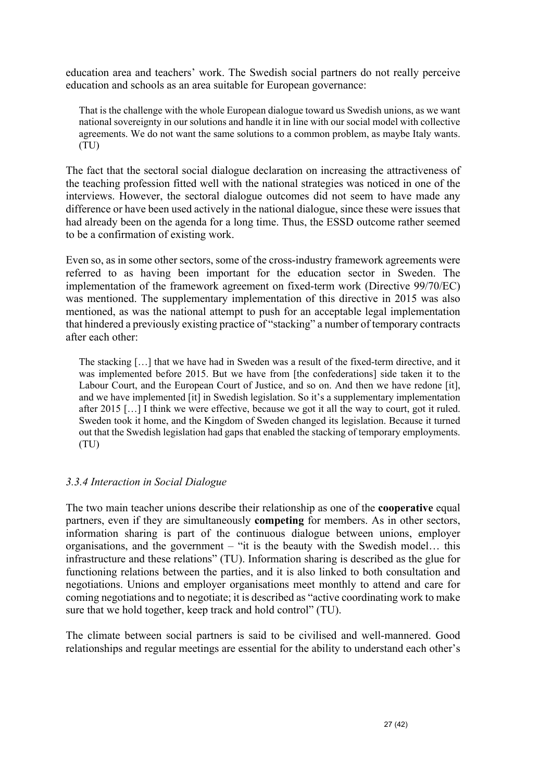education area and teachers' work. The Swedish social partners do not really perceive education and schools as an area suitable for European governance:

That is the challenge with the whole European dialogue toward us Swedish unions, as we want national sovereignty in our solutions and handle it in line with our social model with collective agreements. We do not want the same solutions to a common problem, as maybe Italy wants. (TU)

The fact that the sectoral social dialogue declaration on increasing the attractiveness of the teaching profession fitted well with the national strategies was noticed in one of the interviews. However, the sectoral dialogue outcomes did not seem to have made any difference or have been used actively in the national dialogue, since these were issues that had already been on the agenda for a long time. Thus, the ESSD outcome rather seemed to be a confirmation of existing work.

Even so, as in some other sectors, some of the cross-industry framework agreements were referred to as having been important for the education sector in Sweden. The implementation of the framework agreement on fixed-term work (Directive 99/70/EC) was mentioned. The supplementary implementation of this directive in 2015 was also mentioned, as was the national attempt to push for an acceptable legal implementation that hindered a previously existing practice of "stacking" a number of temporary contracts after each other:

The stacking […] that we have had in Sweden was a result of the fixed-term directive, and it was implemented before 2015. But we have from [the confederations] side taken it to the Labour Court, and the European Court of Justice, and so on. And then we have redone [it], and we have implemented [it] in Swedish legislation. So it's a supplementary implementation after 2015 […] I think we were effective, because we got it all the way to court, got it ruled. Sweden took it home, and the Kingdom of Sweden changed its legislation. Because it turned out that the Swedish legislation had gaps that enabled the stacking of temporary employments. (TU)

#### *3.3.4 Interaction in Social Dialogue*

The two main teacher unions describe their relationship as one of the **cooperative** equal partners, even if they are simultaneously **competing** for members. As in other sectors, information sharing is part of the continuous dialogue between unions, employer organisations, and the government – "it is the beauty with the Swedish model… this infrastructure and these relations" (TU). Information sharing is described as the glue for functioning relations between the parties, and it is also linked to both consultation and negotiations. Unions and employer organisations meet monthly to attend and care for coming negotiations and to negotiate; it is described as "active coordinating work to make sure that we hold together, keep track and hold control" (TU).

The climate between social partners is said to be civilised and well-mannered. Good relationships and regular meetings are essential for the ability to understand each other's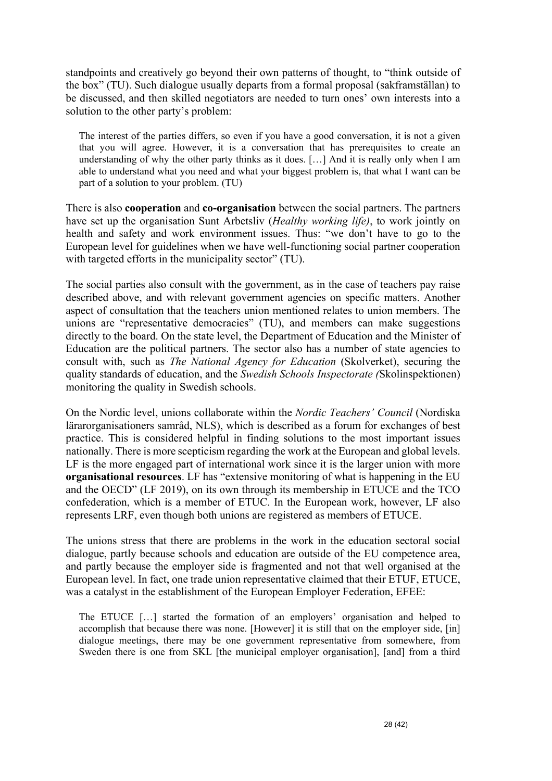standpoints and creatively go beyond their own patterns of thought, to "think outside of the box" (TU). Such dialogue usually departs from a formal proposal (sakframställan) to be discussed, and then skilled negotiators are needed to turn ones' own interests into a solution to the other party's problem:

The interest of the parties differs, so even if you have a good conversation, it is not a given that you will agree. However, it is a conversation that has prerequisites to create an understanding of why the other party thinks as it does. […] And it is really only when I am able to understand what you need and what your biggest problem is, that what I want can be part of a solution to your problem. (TU)

There is also **cooperation** and **co-organisation** between the social partners. The partners have set up the organisation Sunt Arbetsliv (*Healthy working life)*, to work jointly on health and safety and work environment issues. Thus: "we don't have to go to the European level for guidelines when we have well-functioning social partner cooperation with targeted efforts in the municipality sector" (TU).

The social parties also consult with the government, as in the case of teachers pay raise described above, and with relevant government agencies on specific matters. Another aspect of consultation that the teachers union mentioned relates to union members. The unions are "representative democracies" (TU), and members can make suggestions directly to the board. On the state level, the Department of Education and the Minister of Education are the political partners. The sector also has a number of state agencies to consult with, such as *The National Agency for Education* (Skolverket), securing the quality standards of education, and the *Swedish Schools Inspectorate (*Skolinspektionen) monitoring the quality in Swedish schools.

On the Nordic level, unions collaborate within the *Nordic Teachers' Council* (Nordiska lärarorganisationers samråd, NLS), which is described as a forum for exchanges of best practice. This is considered helpful in finding solutions to the most important issues nationally. There is more scepticism regarding the work at the European and global levels. LF is the more engaged part of international work since it is the larger union with more **organisational resources**. LF has "extensive monitoring of what is happening in the EU and the OECD" (LF 2019), on its own through its membership in ETUCE and the TCO confederation, which is a member of ETUC. In the European work, however, LF also represents LRF, even though both unions are registered as members of ETUCE.

The unions stress that there are problems in the work in the education sectoral social dialogue, partly because schools and education are outside of the EU competence area, and partly because the employer side is fragmented and not that well organised at the European level. In fact, one trade union representative claimed that their ETUF, ETUCE, was a catalyst in the establishment of the European Employer Federation, EFEE:

The ETUCE […] started the formation of an employers' organisation and helped to accomplish that because there was none. [However] it is still that on the employer side, [in] dialogue meetings, there may be one government representative from somewhere, from Sweden there is one from SKL [the municipal employer organisation], [and] from a third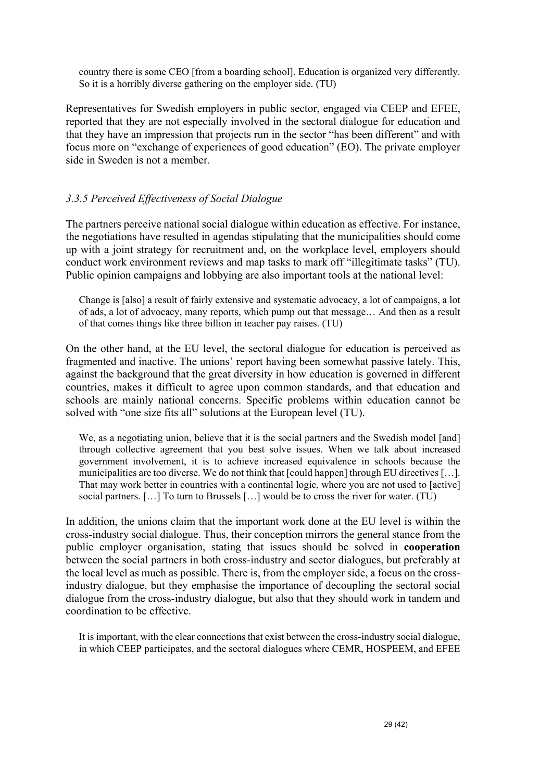country there is some CEO [from a boarding school]. Education is organized very differently. So it is a horribly diverse gathering on the employer side. (TU)

Representatives for Swedish employers in public sector, engaged via CEEP and EFEE, reported that they are not especially involved in the sectoral dialogue for education and that they have an impression that projects run in the sector "has been different" and with focus more on "exchange of experiences of good education" (EO). The private employer side in Sweden is not a member.

#### *3.3.5 Perceived Effectiveness of Social Dialogue*

The partners perceive national social dialogue within education as effective. For instance, the negotiations have resulted in agendas stipulating that the municipalities should come up with a joint strategy for recruitment and, on the workplace level, employers should conduct work environment reviews and map tasks to mark off "illegitimate tasks" (TU). Public opinion campaigns and lobbying are also important tools at the national level:

Change is [also] a result of fairly extensive and systematic advocacy, a lot of campaigns, a lot of ads, a lot of advocacy, many reports, which pump out that message… And then as a result of that comes things like three billion in teacher pay raises. (TU)

On the other hand, at the EU level, the sectoral dialogue for education is perceived as fragmented and inactive. The unions' report having been somewhat passive lately. This, against the background that the great diversity in how education is governed in different countries, makes it difficult to agree upon common standards, and that education and schools are mainly national concerns. Specific problems within education cannot be solved with "one size fits all" solutions at the European level (TU).

We, as a negotiating union, believe that it is the social partners and the Swedish model [and] through collective agreement that you best solve issues. When we talk about increased government involvement, it is to achieve increased equivalence in schools because the municipalities are too diverse. We do not think that [could happen] through EU directives […]. That may work better in countries with a continental logic, where you are not used to [active] social partners. […] To turn to Brussels […] would be to cross the river for water. (TU)

In addition, the unions claim that the important work done at the EU level is within the cross-industry social dialogue. Thus, their conception mirrors the general stance from the public employer organisation, stating that issues should be solved in **cooperation** between the social partners in both cross-industry and sector dialogues, but preferably at the local level as much as possible. There is, from the employer side, a focus on the crossindustry dialogue, but they emphasise the importance of decoupling the sectoral social dialogue from the cross-industry dialogue, but also that they should work in tandem and coordination to be effective.

It is important, with the clear connections that exist between the cross-industry social dialogue, in which CEEP participates, and the sectoral dialogues where CEMR, HOSPEEM, and EFEE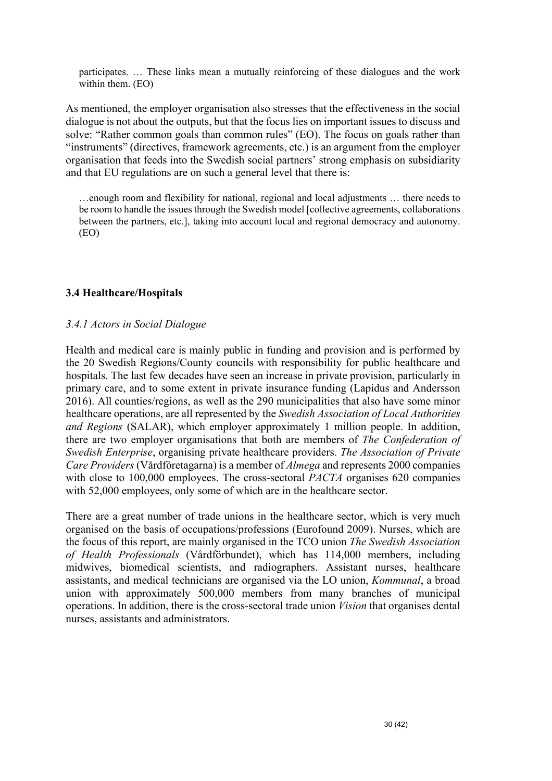participates. … These links mean a mutually reinforcing of these dialogues and the work within them. (EO)

As mentioned, the employer organisation also stresses that the effectiveness in the social dialogue is not about the outputs, but that the focus lies on important issues to discuss and solve: "Rather common goals than common rules" (EO). The focus on goals rather than "instruments" (directives, framework agreements, etc.) is an argument from the employer organisation that feeds into the Swedish social partners' strong emphasis on subsidiarity and that EU regulations are on such a general level that there is:

…enough room and flexibility for national, regional and local adjustments … there needs to be room to handle the issues through the Swedish model [collective agreements, collaborations between the partners, etc.], taking into account local and regional democracy and autonomy. (EO)

#### **3.4 Healthcare/Hospitals**

#### *3.4.1 Actors in Social Dialogue*

Health and medical care is mainly public in funding and provision and is performed by the 20 Swedish Regions/County councils with responsibility for public healthcare and hospitals. The last few decades have seen an increase in private provision, particularly in primary care, and to some extent in private insurance funding (Lapidus and Andersson 2016). All counties/regions, as well as the 290 municipalities that also have some minor healthcare operations, are all represented by the *Swedish Association of Local Authorities and Regions* (SALAR), which employer approximately 1 million people. In addition, there are two employer organisations that both are members of *The Confederation of Swedish Enterprise*, organising private healthcare providers. *The Association of Private Care Providers* (Vårdföretagarna) is a member of *Almega* and represents 2000 companies with close to 100,000 employees. The cross-sectoral *PACTA* organises 620 companies with 52,000 employees, only some of which are in the healthcare sector.

There are a great number of trade unions in the healthcare sector, which is very much organised on the basis of occupations/professions (Eurofound 2009). Nurses, which are the focus of this report, are mainly organised in the TCO union *The Swedish Association of Health Professionals* (Vårdförbundet), which has 114,000 members, including midwives, biomedical scientists, and radiographers. Assistant nurses, healthcare assistants, and medical technicians are organised via the LO union, *Kommunal*, a broad union with approximately 500,000 members from many branches of municipal operations. In addition, there is the cross-sectoral trade union *Vision* that organises dental nurses, assistants and administrators.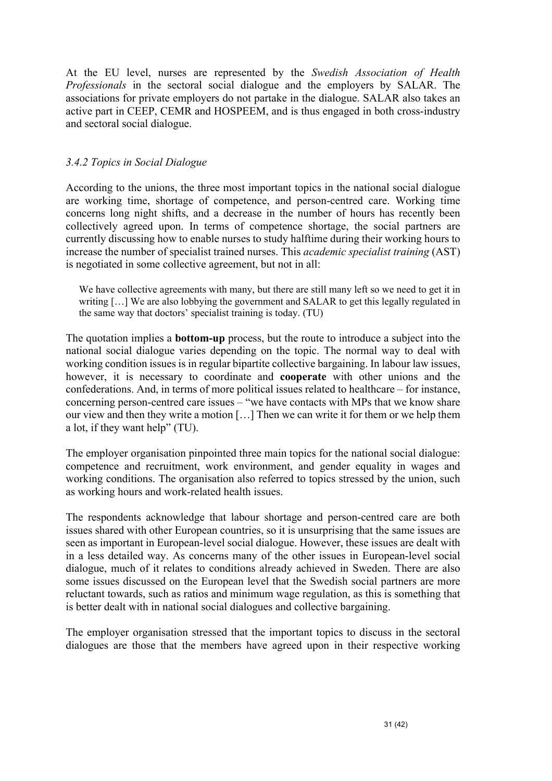At the EU level, nurses are represented by the *Swedish Association of Health Professionals* in the sectoral social dialogue and the employers by SALAR. The associations for private employers do not partake in the dialogue. SALAR also takes an active part in CEEP, CEMR and HOSPEEM, and is thus engaged in both cross-industry and sectoral social dialogue.

#### *3.4.2 Topics in Social Dialogue*

According to the unions, the three most important topics in the national social dialogue are working time, shortage of competence, and person-centred care. Working time concerns long night shifts, and a decrease in the number of hours has recently been collectively agreed upon. In terms of competence shortage, the social partners are currently discussing how to enable nurses to study halftime during their working hours to increase the number of specialist trained nurses. This *academic specialist training* (AST) is negotiated in some collective agreement, but not in all:

We have collective agreements with many, but there are still many left so we need to get it in writing […] We are also lobbying the government and SALAR to get this legally regulated in the same way that doctors' specialist training is today. (TU)

The quotation implies a **bottom-up** process, but the route to introduce a subject into the national social dialogue varies depending on the topic. The normal way to deal with working condition issues is in regular bipartite collective bargaining. In labour law issues, however, it is necessary to coordinate and **cooperate** with other unions and the confederations. And, in terms of more political issues related to healthcare – for instance, concerning person-centred care issues – "we have contacts with MPs that we know share our view and then they write a motion […] Then we can write it for them or we help them a lot, if they want help" (TU).

The employer organisation pinpointed three main topics for the national social dialogue: competence and recruitment, work environment, and gender equality in wages and working conditions. The organisation also referred to topics stressed by the union, such as working hours and work-related health issues.

The respondents acknowledge that labour shortage and person-centred care are both issues shared with other European countries, so it is unsurprising that the same issues are seen as important in European-level social dialogue. However, these issues are dealt with in a less detailed way. As concerns many of the other issues in European-level social dialogue, much of it relates to conditions already achieved in Sweden. There are also some issues discussed on the European level that the Swedish social partners are more reluctant towards, such as ratios and minimum wage regulation, as this is something that is better dealt with in national social dialogues and collective bargaining.

The employer organisation stressed that the important topics to discuss in the sectoral dialogues are those that the members have agreed upon in their respective working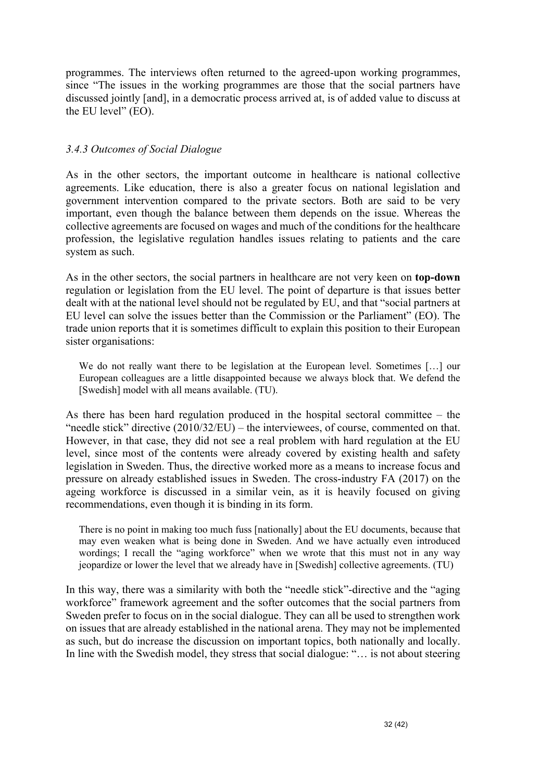programmes. The interviews often returned to the agreed-upon working programmes, since "The issues in the working programmes are those that the social partners have discussed jointly [and], in a democratic process arrived at, is of added value to discuss at the EU level" (EO).

#### *3.4.3 Outcomes of Social Dialogue*

As in the other sectors, the important outcome in healthcare is national collective agreements. Like education, there is also a greater focus on national legislation and government intervention compared to the private sectors. Both are said to be very important, even though the balance between them depends on the issue. Whereas the collective agreements are focused on wages and much of the conditions for the healthcare profession, the legislative regulation handles issues relating to patients and the care system as such.

As in the other sectors, the social partners in healthcare are not very keen on **top-down** regulation or legislation from the EU level. The point of departure is that issues better dealt with at the national level should not be regulated by EU, and that "social partners at EU level can solve the issues better than the Commission or the Parliament" (EO). The trade union reports that it is sometimes difficult to explain this position to their European sister organisations:

We do not really want there to be legislation at the European level. Sometimes […] our European colleagues are a little disappointed because we always block that. We defend the [Swedish] model with all means available. (TU).

As there has been hard regulation produced in the hospital sectoral committee – the "needle stick" directive (2010/32/EU) – the interviewees, of course, commented on that. However, in that case, they did not see a real problem with hard regulation at the EU level, since most of the contents were already covered by existing health and safety legislation in Sweden. Thus, the directive worked more as a means to increase focus and pressure on already established issues in Sweden. The cross-industry FA (2017) on the ageing workforce is discussed in a similar vein, as it is heavily focused on giving recommendations, even though it is binding in its form.

There is no point in making too much fuss [nationally] about the EU documents, because that may even weaken what is being done in Sweden. And we have actually even introduced wordings; I recall the "aging workforce" when we wrote that this must not in any way jeopardize or lower the level that we already have in [Swedish] collective agreements. (TU)

In this way, there was a similarity with both the "needle stick"-directive and the "aging workforce" framework agreement and the softer outcomes that the social partners from Sweden prefer to focus on in the social dialogue. They can all be used to strengthen work on issues that are already established in the national arena. They may not be implemented as such, but do increase the discussion on important topics, both nationally and locally. In line with the Swedish model, they stress that social dialogue: "… is not about steering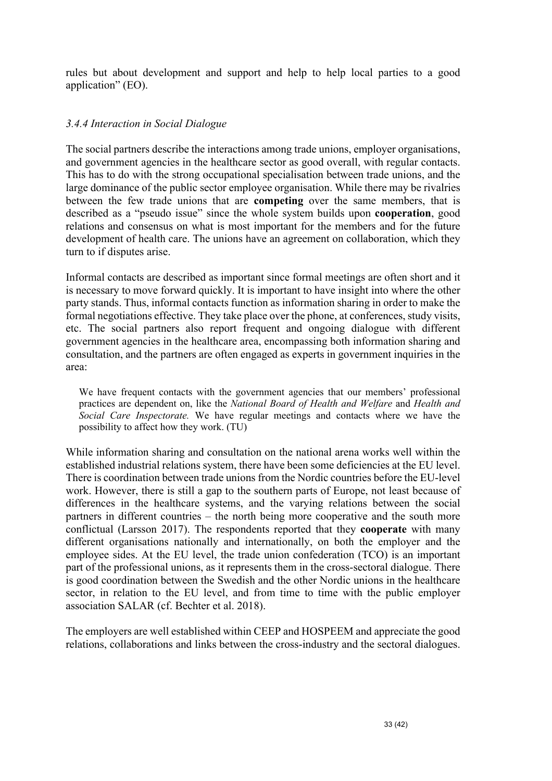rules but about development and support and help to help local parties to a good application" (EO).

#### *3.4.4 Interaction in Social Dialogue*

The social partners describe the interactions among trade unions, employer organisations, and government agencies in the healthcare sector as good overall, with regular contacts. This has to do with the strong occupational specialisation between trade unions, and the large dominance of the public sector employee organisation. While there may be rivalries between the few trade unions that are **competing** over the same members, that is described as a "pseudo issue" since the whole system builds upon **cooperation**, good relations and consensus on what is most important for the members and for the future development of health care. The unions have an agreement on collaboration, which they turn to if disputes arise.

Informal contacts are described as important since formal meetings are often short and it is necessary to move forward quickly. It is important to have insight into where the other party stands. Thus, informal contacts function as information sharing in order to make the formal negotiations effective. They take place over the phone, at conferences, study visits, etc. The social partners also report frequent and ongoing dialogue with different government agencies in the healthcare area, encompassing both information sharing and consultation, and the partners are often engaged as experts in government inquiries in the area:

We have frequent contacts with the government agencies that our members' professional practices are dependent on, like the *National Board of Health and Welfare* and *Health and Social Care Inspectorate.* We have regular meetings and contacts where we have the possibility to affect how they work. (TU)

While information sharing and consultation on the national arena works well within the established industrial relations system, there have been some deficiencies at the EU level. There is coordination between trade unions from the Nordic countries before the EU-level work. However, there is still a gap to the southern parts of Europe, not least because of differences in the healthcare systems, and the varying relations between the social partners in different countries – the north being more cooperative and the south more conflictual (Larsson 2017). The respondents reported that they **cooperate** with many different organisations nationally and internationally, on both the employer and the employee sides. At the EU level, the trade union confederation (TCO) is an important part of the professional unions, as it represents them in the cross-sectoral dialogue. There is good coordination between the Swedish and the other Nordic unions in the healthcare sector, in relation to the EU level, and from time to time with the public employer association SALAR (cf. Bechter et al. 2018).

The employers are well established within CEEP and HOSPEEM and appreciate the good relations, collaborations and links between the cross-industry and the sectoral dialogues.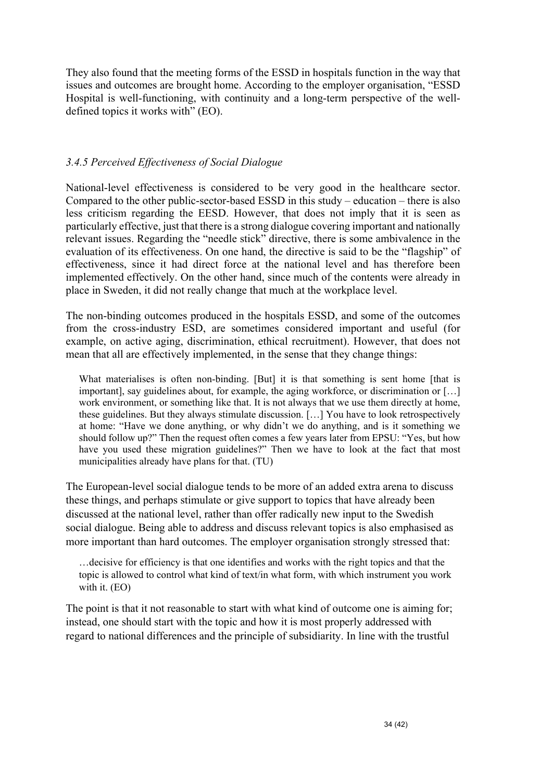They also found that the meeting forms of the ESSD in hospitals function in the way that issues and outcomes are brought home. According to the employer organisation, "ESSD Hospital is well-functioning, with continuity and a long-term perspective of the welldefined topics it works with" (EO).

#### *3.4.5 Perceived Effectiveness of Social Dialogue*

National-level effectiveness is considered to be very good in the healthcare sector. Compared to the other public-sector-based ESSD in this study – education – there is also less criticism regarding the EESD. However, that does not imply that it is seen as particularly effective, just that there is a strong dialogue covering important and nationally relevant issues. Regarding the "needle stick" directive, there is some ambivalence in the evaluation of its effectiveness. On one hand, the directive is said to be the "flagship" of effectiveness, since it had direct force at the national level and has therefore been implemented effectively. On the other hand, since much of the contents were already in place in Sweden, it did not really change that much at the workplace level.

The non-binding outcomes produced in the hospitals ESSD, and some of the outcomes from the cross-industry ESD, are sometimes considered important and useful (for example, on active aging, discrimination, ethical recruitment). However, that does not mean that all are effectively implemented, in the sense that they change things:

What materialises is often non-binding. [But] it is that something is sent home [that is important], say guidelines about, for example, the aging workforce, or discrimination or [...] work environment, or something like that. It is not always that we use them directly at home, these guidelines. But they always stimulate discussion. […] You have to look retrospectively at home: "Have we done anything, or why didn't we do anything, and is it something we should follow up?" Then the request often comes a few years later from EPSU: "Yes, but how have you used these migration guidelines?" Then we have to look at the fact that most municipalities already have plans for that. (TU)

The European-level social dialogue tends to be more of an added extra arena to discuss these things, and perhaps stimulate or give support to topics that have already been discussed at the national level, rather than offer radically new input to the Swedish social dialogue. Being able to address and discuss relevant topics is also emphasised as more important than hard outcomes. The employer organisation strongly stressed that:

…decisive for efficiency is that one identifies and works with the right topics and that the topic is allowed to control what kind of text/in what form, with which instrument you work with it. (EO)

The point is that it not reasonable to start with what kind of outcome one is aiming for; instead, one should start with the topic and how it is most properly addressed with regard to national differences and the principle of subsidiarity. In line with the trustful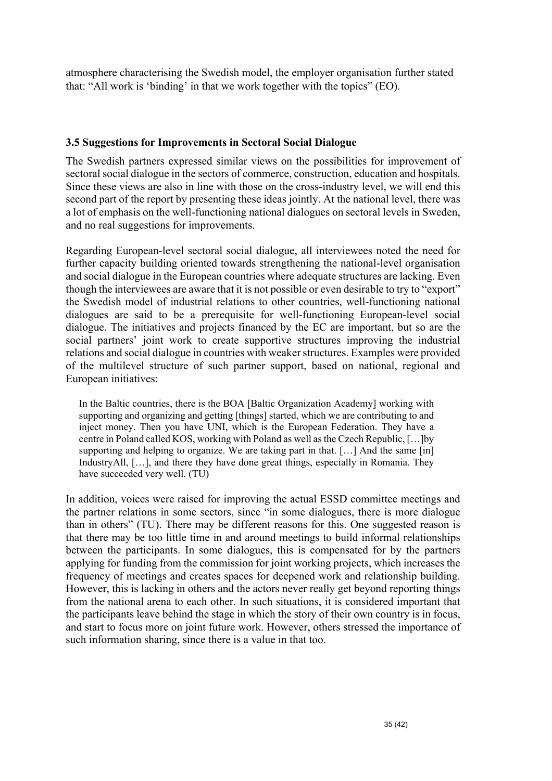atmosphere characterising the Swedish model, the employer organisation further stated that: "All work is 'binding' in that we work together with the topics" (EO).

#### **3.5 Suggestions for Improvements in Sectoral Social Dialogue**

The Swedish partners expressed similar views on the possibilities for improvement of sectoral social dialogue in the sectors of commerce, construction, education and hospitals. Since these views are also in line with those on the cross-industry level, we will end this second part of the report by presenting these ideas jointly. At the national level, there was a lot of emphasis on the well-functioning national dialogues on sectoral levels in Sweden, and no real suggestions for improvements.

Regarding European-level sectoral social dialogue, all interviewees noted the need for further capacity building oriented towards strengthening the national-level organisation and social dialogue in the European countries where adequate structures are lacking. Even though the interviewees are aware that it is not possible or even desirable to try to "export" the Swedish model of industrial relations to other countries, well-functioning national dialogues are said to be a prerequisite for well-functioning European-level social dialogue. The initiatives and projects financed by the EC are important, but so are the social partners' joint work to create supportive structures improving the industrial relations and social dialogue in countries with weaker structures. Examples were provided of the multilevel structure of such partner support, based on national, regional and European initiatives:

In the Baltic countries, there is the BOA [Baltic Organization Academy] working with supporting and organizing and getting [things] started, which we are contributing to and inject money. Then you have UNI, which is the European Federation. They have a centre in Poland called KOS, working with Poland as well as the Czech Republic, […]by supporting and helping to organize. We are taking part in that. […] And the same [in] IndustryAll, [...], and there they have done great things, especially in Romania. They have succeeded very well. (TU)

In addition, voices were raised for improving the actual ESSD committee meetings and the partner relations in some sectors, since "in some dialogues, there is more dialogue than in others" (TU). There may be different reasons for this. One suggested reason is that there may be too little time in and around meetings to build informal relationships between the participants. In some dialogues, this is compensated for by the partners applying for funding from the commission for joint working projects, which increases the frequency of meetings and creates spaces for deepened work and relationship building. However, this is lacking in others and the actors never really get beyond reporting things from the national arena to each other. In such situations, it is considered important that the participants leave behind the stage in which the story of their own country is in focus, and start to focus more on joint future work. However, others stressed the importance of such information sharing, since there is a value in that too.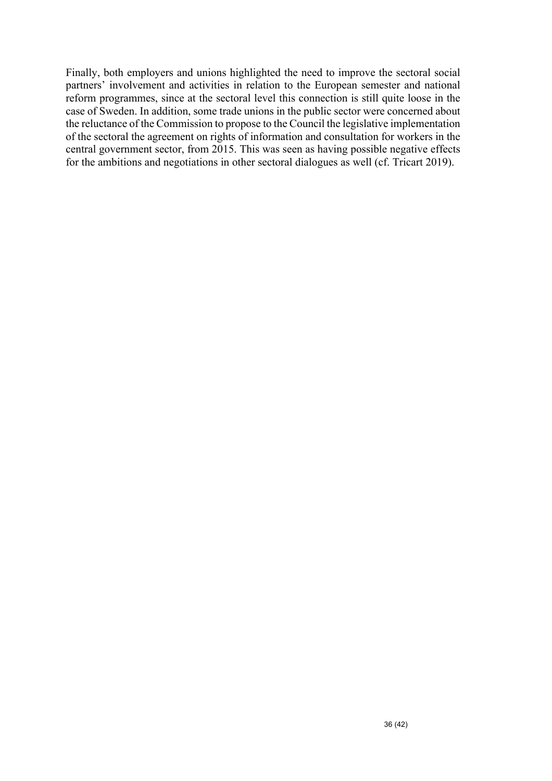Finally, both employers and unions highlighted the need to improve the sectoral social partners' involvement and activities in relation to the European semester and national reform programmes, since at the sectoral level this connection is still quite loose in the case of Sweden. In addition, some trade unions in the public sector were concerned about the reluctance of the Commission to propose to the Council the legislative implementation of the sectoral the agreement on rights of information and consultation for workers in the central government sector, from 2015. This was seen as having possible negative effects for the ambitions and negotiations in other sectoral dialogues as well (cf. Tricart 2019).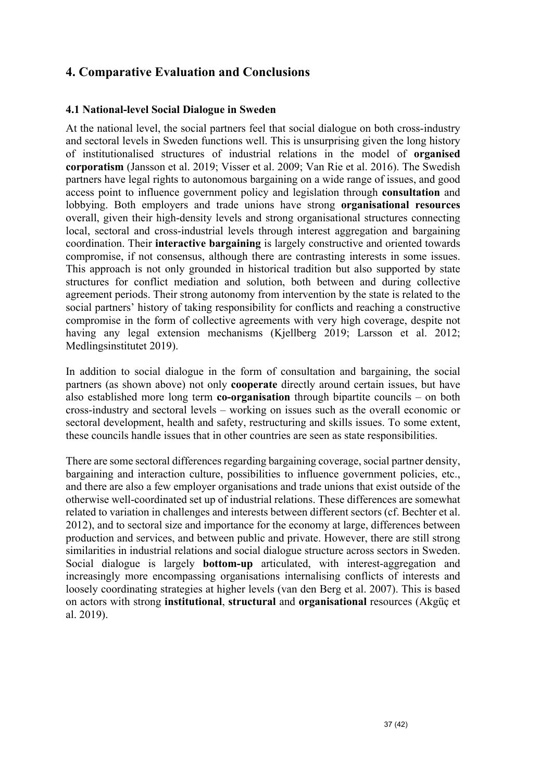#### **4. Comparative Evaluation and Conclusions**

#### **4.1 National-level Social Dialogue in Sweden**

At the national level, the social partners feel that social dialogue on both cross-industry and sectoral levels in Sweden functions well. This is unsurprising given the long history of institutionalised structures of industrial relations in the model of **organised corporatism** (Jansson et al. 2019; Visser et al. 2009; Van Rie et al. 2016). The Swedish partners have legal rights to autonomous bargaining on a wide range of issues, and good access point to influence government policy and legislation through **consultation** and lobbying. Both employers and trade unions have strong **organisational resources** overall, given their high-density levels and strong organisational structures connecting local, sectoral and cross-industrial levels through interest aggregation and bargaining coordination. Their **interactive bargaining** is largely constructive and oriented towards compromise, if not consensus, although there are contrasting interests in some issues. This approach is not only grounded in historical tradition but also supported by state structures for conflict mediation and solution, both between and during collective agreement periods. Their strong autonomy from intervention by the state is related to the social partners' history of taking responsibility for conflicts and reaching a constructive compromise in the form of collective agreements with very high coverage, despite not having any legal extension mechanisms (Kjellberg 2019; Larsson et al. 2012; Medlingsinstitutet 2019).

In addition to social dialogue in the form of consultation and bargaining, the social partners (as shown above) not only **cooperate** directly around certain issues, but have also established more long term **co-organisation** through bipartite councils – on both cross-industry and sectoral levels – working on issues such as the overall economic or sectoral development, health and safety, restructuring and skills issues. To some extent, these councils handle issues that in other countries are seen as state responsibilities.

There are some sectoral differences regarding bargaining coverage, social partner density, bargaining and interaction culture, possibilities to influence government policies, etc., and there are also a few employer organisations and trade unions that exist outside of the otherwise well-coordinated set up of industrial relations. These differences are somewhat related to variation in challenges and interests between different sectors (cf. Bechter et al. 2012), and to sectoral size and importance for the economy at large, differences between production and services, and between public and private. However, there are still strong similarities in industrial relations and social dialogue structure across sectors in Sweden. Social dialogue is largely **bottom-up** articulated, with interest-aggregation and increasingly more encompassing organisations internalising conflicts of interests and loosely coordinating strategies at higher levels (van den Berg et al. 2007). This is based on actors with strong **institutional**, **structural** and **organisational** resources (Akgüç et al. 2019).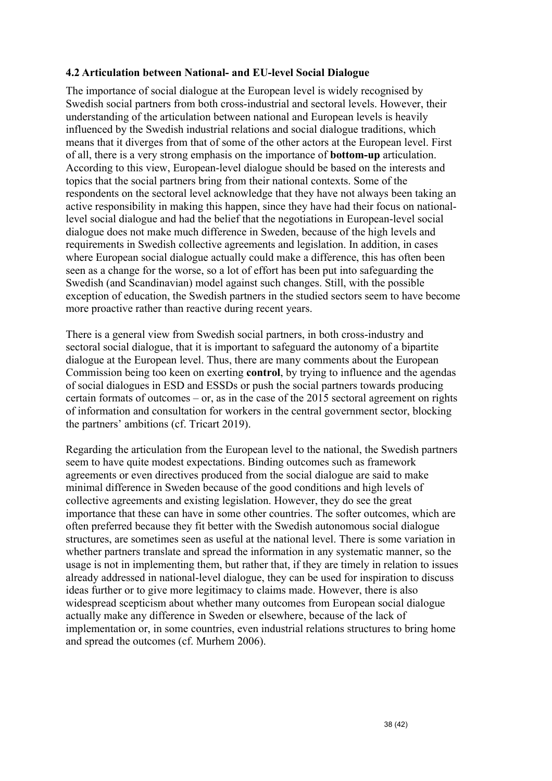#### **4.2 Articulation between National- and EU-level Social Dialogue**

The importance of social dialogue at the European level is widely recognised by Swedish social partners from both cross-industrial and sectoral levels. However, their understanding of the articulation between national and European levels is heavily influenced by the Swedish industrial relations and social dialogue traditions, which means that it diverges from that of some of the other actors at the European level. First of all, there is a very strong emphasis on the importance of **bottom-up** articulation. According to this view, European-level dialogue should be based on the interests and topics that the social partners bring from their national contexts. Some of the respondents on the sectoral level acknowledge that they have not always been taking an active responsibility in making this happen, since they have had their focus on nationallevel social dialogue and had the belief that the negotiations in European-level social dialogue does not make much difference in Sweden, because of the high levels and requirements in Swedish collective agreements and legislation. In addition, in cases where European social dialogue actually could make a difference, this has often been seen as a change for the worse, so a lot of effort has been put into safeguarding the Swedish (and Scandinavian) model against such changes. Still, with the possible exception of education, the Swedish partners in the studied sectors seem to have become more proactive rather than reactive during recent years.

There is a general view from Swedish social partners, in both cross-industry and sectoral social dialogue, that it is important to safeguard the autonomy of a bipartite dialogue at the European level. Thus, there are many comments about the European Commission being too keen on exerting **control**, by trying to influence and the agendas of social dialogues in ESD and ESSDs or push the social partners towards producing certain formats of outcomes – or, as in the case of the 2015 sectoral agreement on rights of information and consultation for workers in the central government sector, blocking the partners' ambitions (cf. Tricart 2019).

Regarding the articulation from the European level to the national, the Swedish partners seem to have quite modest expectations. Binding outcomes such as framework agreements or even directives produced from the social dialogue are said to make minimal difference in Sweden because of the good conditions and high levels of collective agreements and existing legislation. However, they do see the great importance that these can have in some other countries. The softer outcomes, which are often preferred because they fit better with the Swedish autonomous social dialogue structures, are sometimes seen as useful at the national level. There is some variation in whether partners translate and spread the information in any systematic manner, so the usage is not in implementing them, but rather that, if they are timely in relation to issues already addressed in national-level dialogue, they can be used for inspiration to discuss ideas further or to give more legitimacy to claims made. However, there is also widespread scepticism about whether many outcomes from European social dialogue actually make any difference in Sweden or elsewhere, because of the lack of implementation or, in some countries, even industrial relations structures to bring home and spread the outcomes (cf. Murhem 2006).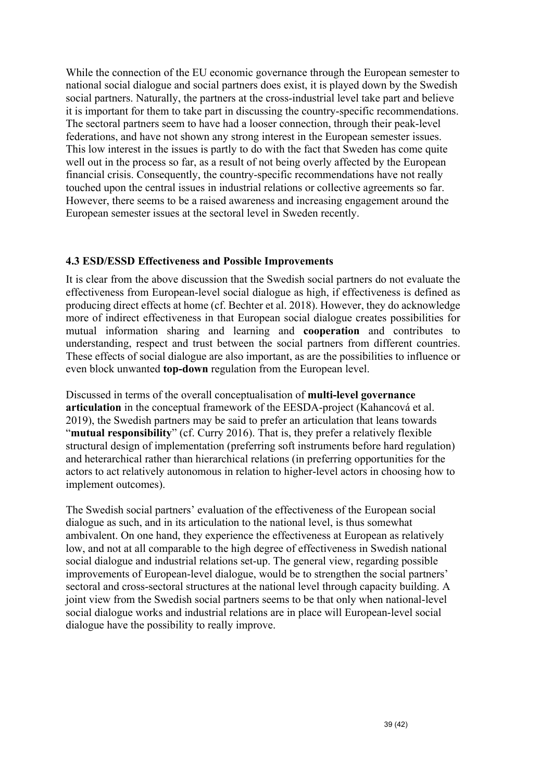While the connection of the EU economic governance through the European semester to national social dialogue and social partners does exist, it is played down by the Swedish social partners. Naturally, the partners at the cross-industrial level take part and believe it is important for them to take part in discussing the country-specific recommendations. The sectoral partners seem to have had a looser connection, through their peak-level federations, and have not shown any strong interest in the European semester issues. This low interest in the issues is partly to do with the fact that Sweden has come quite well out in the process so far, as a result of not being overly affected by the European financial crisis. Consequently, the country-specific recommendations have not really touched upon the central issues in industrial relations or collective agreements so far. However, there seems to be a raised awareness and increasing engagement around the European semester issues at the sectoral level in Sweden recently.

#### **4.3 ESD/ESSD Effectiveness and Possible Improvements**

It is clear from the above discussion that the Swedish social partners do not evaluate the effectiveness from European-level social dialogue as high, if effectiveness is defined as producing direct effects at home (cf. Bechter et al. 2018). However, they do acknowledge more of indirect effectiveness in that European social dialogue creates possibilities for mutual information sharing and learning and **cooperation** and contributes to understanding, respect and trust between the social partners from different countries. These effects of social dialogue are also important, as are the possibilities to influence or even block unwanted **top-down** regulation from the European level.

Discussed in terms of the overall conceptualisation of **multi-level governance articulation** in the conceptual framework of the EESDA-project (Kahancová et al. 2019), the Swedish partners may be said to prefer an articulation that leans towards "**mutual responsibility**" (cf. Curry 2016). That is, they prefer a relatively flexible structural design of implementation (preferring soft instruments before hard regulation) and heterarchical rather than hierarchical relations (in preferring opportunities for the actors to act relatively autonomous in relation to higher-level actors in choosing how to implement outcomes).

The Swedish social partners' evaluation of the effectiveness of the European social dialogue as such, and in its articulation to the national level, is thus somewhat ambivalent. On one hand, they experience the effectiveness at European as relatively low, and not at all comparable to the high degree of effectiveness in Swedish national social dialogue and industrial relations set-up. The general view, regarding possible improvements of European-level dialogue, would be to strengthen the social partners' sectoral and cross-sectoral structures at the national level through capacity building. A joint view from the Swedish social partners seems to be that only when national-level social dialogue works and industrial relations are in place will European-level social dialogue have the possibility to really improve.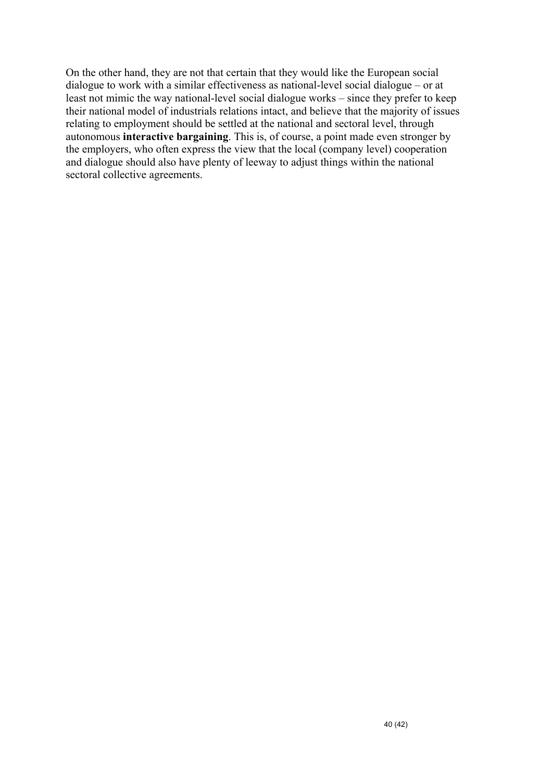On the other hand, they are not that certain that they would like the European social dialogue to work with a similar effectiveness as national-level social dialogue – or at least not mimic the way national-level social dialogue works – since they prefer to keep their national model of industrials relations intact, and believe that the majority of issues relating to employment should be settled at the national and sectoral level, through autonomous **interactive bargaining**. This is, of course, a point made even stronger by the employers, who often express the view that the local (company level) cooperation and dialogue should also have plenty of leeway to adjust things within the national sectoral collective agreements.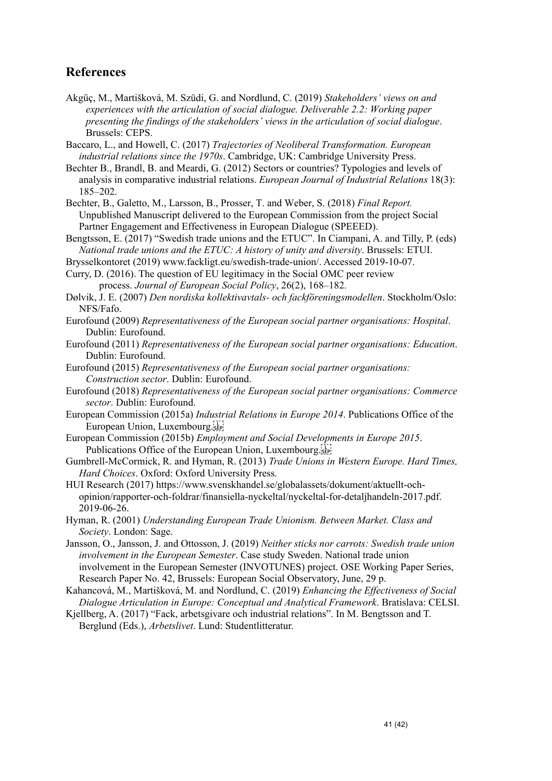#### **References**

- Akgüç, M., Martišková, M. Szüdi, G. and Nordlund, C. (2019) *Stakeholders' views on and experiences with the articulation of social dialogue. Deliverable 2.2: Working paper presenting the findings of the stakeholders' views in the articulation of social dialogue*. Brussels: CEPS.
- Baccaro, L., and Howell, C. (2017) *Trajectories of Neoliberal Transformation. European industrial relations since the 1970s*. Cambridge, UK: Cambridge University Press.
- Bechter B., Brandl, B. and Meardi, G. (2012) Sectors or countries? Typologies and levels of analysis in comparative industrial relations. *European Journal of Industrial Relations* 18(3): 185–202.
- Bechter, B., Galetto, M., Larsson, B., Prosser, T. and Weber, S. (2018) *Final Report.*  Unpublished Manuscript delivered to the European Commission from the project Social Partner Engagement and Effectiveness in European Dialogue (SPEEED).
- Bengtsson, E. (2017) "Swedish trade unions and the ETUC". In Ciampani, A. and Tilly, P. (eds) *National trade unions and the ETUC: A history of unity and diversity*. Brussels: ETUI.
- Brysselkontoret (2019) www.fackligt.eu/swedish-trade-union/. Accessed 2019-10-07.

Curry, D. (2016). The question of EU legitimacy in the Social OMC peer review process. *Journal of European Social Policy*, 26(2), 168–182.

- Dølvik, J. E. (2007) *Den nordiska kollektivavtals- och fackföreningsmodellen*. Stockholm/Oslo: NFS/Fafo.
- Eurofound (2009) *Representativeness of the European social partner organisations: Hospital*. Dublin: Eurofound.
- Eurofound (2011) *Representativeness of the European social partner organisations: Education*. Dublin: Eurofound.
- Eurofound (2015) *Representativeness of the European social partner organisations: Construction sector*. Dublin: Eurofound.
- Eurofound (2018) *Representativeness of the European social partner organisations: Commerce sector*. Dublin: Eurofound.
- European Commission (2015a) *Industrial Relations in Europe 2014*. Publications Office of the European Union, Luxembourg.
- European Commission (2015b) *Employment and Social Developments in Europe 2015*. Publications Office of the European Union, Luxembourg.
- Gumbrell-McCormick, R. and Hyman, R. (2013) *Trade Unions in Western Europe. Hard Times, Hard Choices*. Oxford: Oxford University Press.
- HUI Research (2017) https://www.svenskhandel.se/globalassets/dokument/aktuellt-ochopinion/rapporter-och-foldrar/finansiella-nyckeltal/nyckeltal-for-detaljhandeln-2017.pdf. 2019-06-26.
- Hyman, R. (2001) *Understanding European Trade Unionism. Between Market. Class and Society*. London: Sage.
- Jansson, O., Jansson, J. and Ottosson, J. (2019) *Neither sticks nor carrots: Swedish trade union involvement in the European Semester*. Case study Sweden. National trade union involvement in the European Semester (INVOTUNES) project. OSE Working Paper Series, Research Paper No. 42, Brussels: European Social Observatory, June, 29 p.
- Kahancová, M., Martišková, M. and Nordlund, C. (2019) *Enhancing the Effectiveness of Social Dialogue Articulation in Europe: Conceptual and Analytical Framework*. Bratislava: CELSI.
- Kjellberg, A. (2017) "Fack, arbetsgivare och industrial relations". In M. Bengtsson and T. Berglund (Eds.), *Arbetslivet*. Lund: Studentlitteratur.